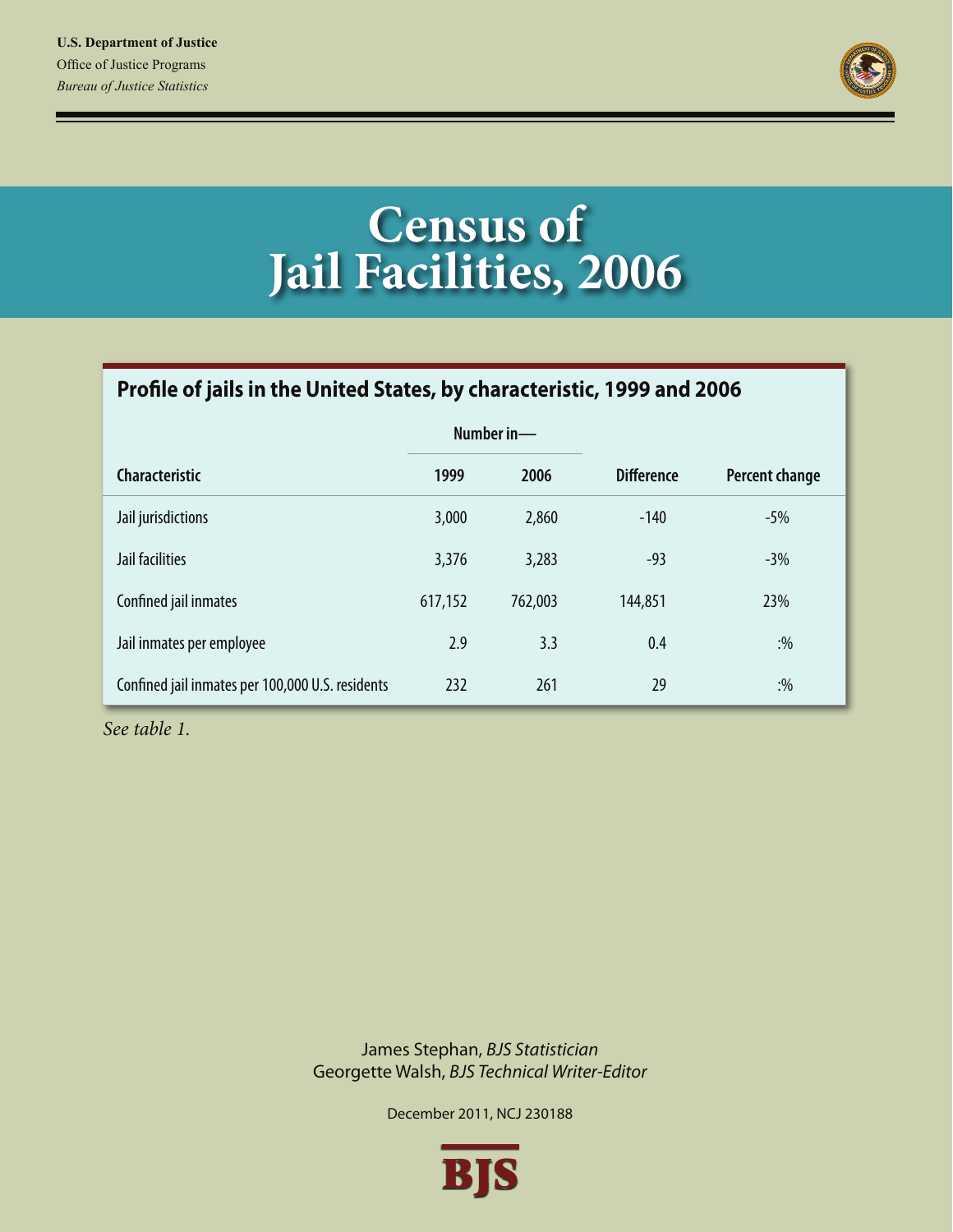

# **Census of Jail Facilities, 2006**

# Profile of jails in the United States, by characteristic, 1999 and 2006

|                                                  |         | Number in- |                   |                |
|--------------------------------------------------|---------|------------|-------------------|----------------|
| <b>Characteristic</b>                            | 1999    | 2006       | <b>Difference</b> | Percent change |
| Jail jurisdictions                               | 3,000   | 2,860      | $-140$            | $-5%$          |
| Jail facilities                                  | 3,376   | 3,283      | $-93$             | $-3%$          |
| Confined jail inmates                            | 617,152 | 762,003    | 144,851           | 23%            |
| Jail inmates per employee                        | 2.9     | 3.3        | 0.4               | $: \%$         |
| Confined jail inmates per 100,000 U.S. residents | 232     | 261        | 29                | $: \%$         |

*See table 1.*

James Stephan, *BJS Statistician* Georgette Walsh, *BJS Technical Writer-Editor*

December 2011, NCJ 230188

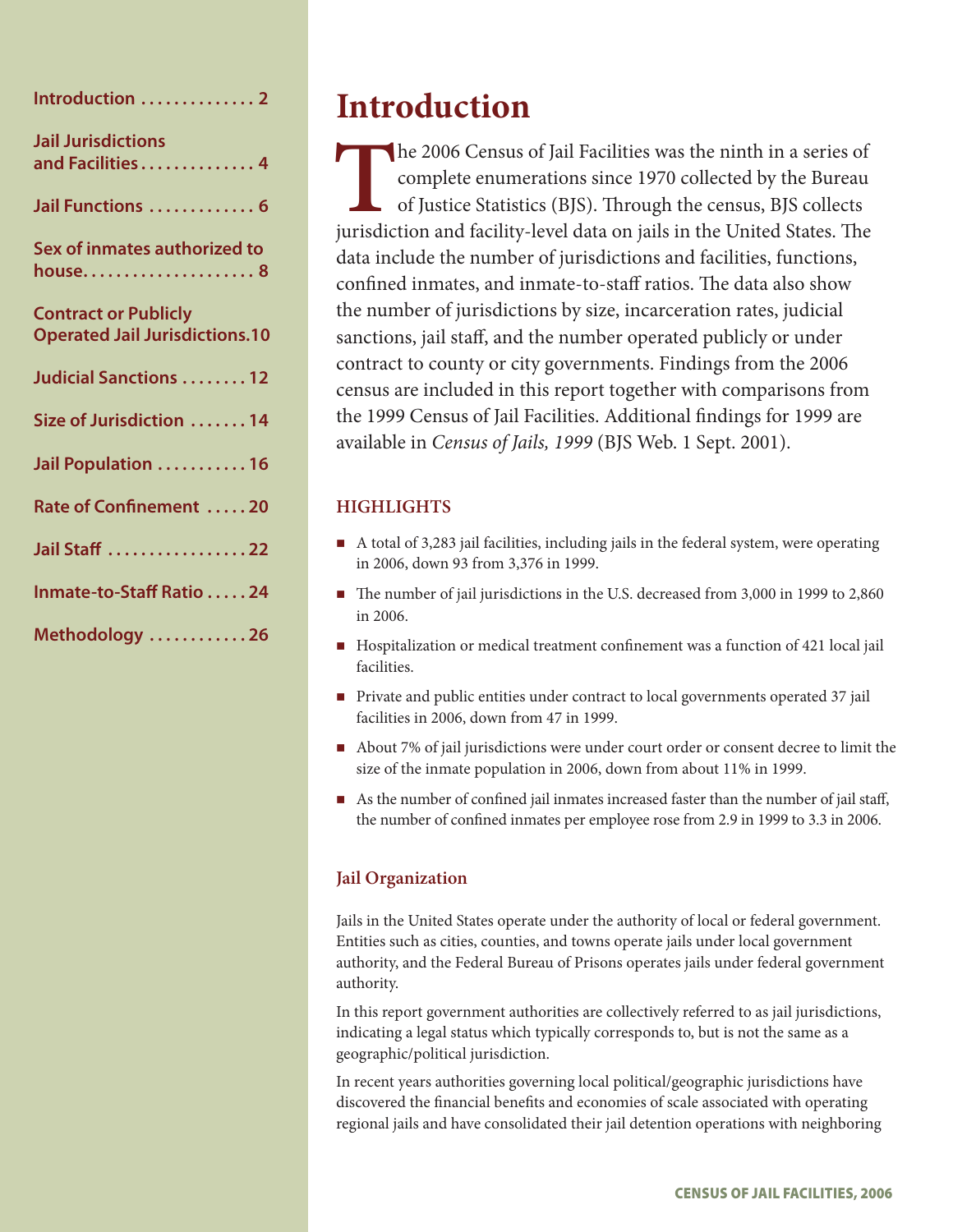| Introduction  2                                                      |
|----------------------------------------------------------------------|
| <b>Jail Jurisdictions</b><br>and Facilities 4                        |
| Jail Functions  6                                                    |
| Sex of inmates authorized to<br>house 8                              |
| <b>Contract or Publicly</b><br><b>Operated Jail Jurisdictions.10</b> |
| Judicial Sanctions 12                                                |
| Size of Jurisdiction  14                                             |
| Jail Population  16                                                  |
| Rate of Confinement 20                                               |
| Jail Staff 22                                                        |
| Inmate-to-Staff Ratio 24                                             |
| Methodology 26                                                       |

# **Introduction**

The 2006 Census of Jail Facilities was the ninth in a series of complete enumerations since 1970 collected by the Bureau of Justice Statistics (BJS). Through the census, BJS collects iurisdiction and facility-level data on complete enumerations since 1970 collected by the Bureau of Justice Statistics (BJS). Through the census, BJS collects jurisdiction and facility-level data on jails in the United States. The data include the number of jurisdictions and facilities, functions, confined inmates, and inmate-to-staff ratios. The data also show the number of jurisdictions by size, incarceration rates, judicial sanctions, jail staff, and the number operated publicly or under contract to county or city governments. Findings from the 2006 census are included in this report together with comparisons from the 1999 Census of Jail Facilities. Additional findings for 1999 are available in *Census of Jails, 1999* (BJS Web. 1 Sept. 2001).

# **HIGHLIGHTS**

- A total of 3,283 jail facilities, including jails in the federal system, were operating in 2006, down 93 from 3,376 in 1999.
- The number of jail jurisdictions in the U.S. decreased from 3,000 in 1999 to 2,860 in 2006.
- Hospitalization or medical treatment confinement was a function of 421 local jail facilities.
- **Private and public entities under contract to local governments operated 37 jail** facilities in 2006, down from 47 in 1999.
- About 7% of jail jurisdictions were under court order or consent decree to limit the size of the inmate population in 2006, down from about 11% in 1999.
- As the number of confined jail inmates increased faster than the number of jail staff, the number of confined inmates per employee rose from 2.9 in 1999 to 3.3 in 2006.

# **Jail Organization**

Jails in the United States operate under the authority of local or federal government. Entities such as cities, counties, and towns operate jails under local government authority, and the Federal Bureau of Prisons operates jails under federal government authority.

In this report government authorities are collectively referred to as jail jurisdictions, indicating a legal status which typically corresponds to, but is not the same as a geographic/political jurisdiction.

In recent years authorities governing local political/geographic jurisdictions have discovered the financial benefits and economies of scale associated with operating regional jails and have consolidated their jail detention operations with neighboring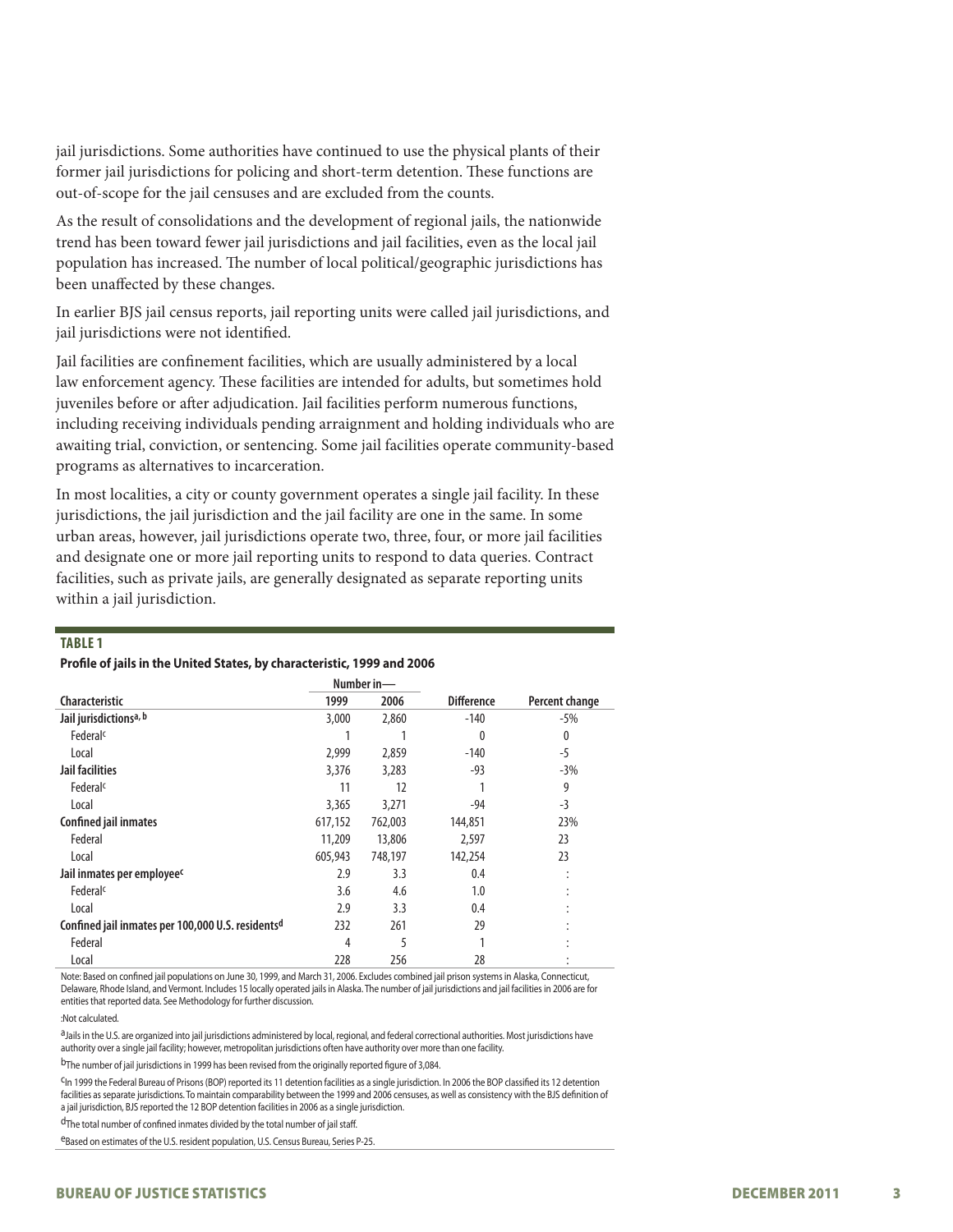jail jurisdictions. Some authorities have continued to use the physical plants of their former jail jurisdictions for policing and short-term detention. These functions are out-of-scope for the jail censuses and are excluded from the counts.

As the result of consolidations and the development of regional jails, the nationwide trend has been toward fewer jail jurisdictions and jail facilities, even as the local jail population has increased. The number of local political/geographic jurisdictions has been unaffected by these changes.

In earlier BJS jail census reports, jail reporting units were called jail jurisdictions, and jail jurisdictions were not identified.

Jail facilities are confinement facilities, which are usually administered by a local law enforcement agency. These facilities are intended for adults, but sometimes hold juveniles before or after adjudication. Jail facilities perform numerous functions, including receiving individuals pending arraignment and holding individuals who are awaiting trial, conviction, or sentencing. Some jail facilities operate community-based programs as alternatives to incarceration.

In most localities, a city or county government operates a single jail facility. In these jurisdictions, the jail jurisdiction and the jail facility are one in the same. In some urban areas, however, jail jurisdictions operate two, three, four, or more jail facilities and designate one or more jail reporting units to respond to data queries. Contract facilities, such as private jails, are generally designated as separate reporting units within a jail jurisdiction.

#### **Table 1**

#### **Profile of jails in the United States, by characteristic, 1999 and 2006**

|                                                   |         | Number in- |                   |                |
|---------------------------------------------------|---------|------------|-------------------|----------------|
| <b>Characteristic</b>                             | 1999    | 2006       | <b>Difference</b> | Percent change |
| Jail jurisdictionsa, b                            | 3,000   | 2,860      | $-140$            | -5%            |
| Federal <sup>c</sup>                              |         |            | $\theta$          | $\mathbf{0}$   |
| Local                                             | 2,999   | 2,859      | $-140$            | $-5$           |
| Jail facilities                                   | 3,376   | 3,283      | $-93$             | $-3%$          |
| Federal <sup>c</sup>                              | 11      | 12         |                   | 9              |
| Local                                             | 3,365   | 3,271      | $-94$             | $-3$           |
| Confined jail inmates                             | 617,152 | 762,003    | 144,851           | 23%            |
| Federal                                           | 11,209  | 13,806     | 2,597             | 23             |
| Local                                             | 605,943 | 748,197    | 142,254           | 23             |
| Jail inmates per employee <sup>c</sup>            | 2.9     | 3.3        | 0.4               |                |
| Federal <sup>c</sup>                              | 3.6     | 4.6        | 1.0               |                |
| Local                                             | 2.9     | 3.3        | 0.4               |                |
| Confined jail inmates per 100,000 U.S. residentsd | 232     | 261        | 29                |                |
| Federal                                           | 4       | 5          |                   |                |
| Local                                             | 228     | 256        | 28                |                |

Note: Based on confined jail populations on June 30, 1999, and March 31, 2006. Excludes combined jail prison systems in Alaska, Connecticut, Delaware, Rhode Island, and Vermont. Includes 15 locally operated jails in Alaska. The number of jail jurisdictions and jail facilities in 2006 are for entities that reported data. See Methodology for further discussion.

#### :Not calculated.

a<sub>Jails</sub> in the U.S. are organized into jail jurisdictions administered by local, regional, and federal correctional authorities. Most jurisdictions have authority over a single jail facility; however, metropolitan jurisdictions often have authority over more than one facility.

bThe number of jail jurisdictions in 1999 has been revised from the originally reported figure of 3,084.

cIn 1999 the Federal Bureau of Prisons (BOP) reported its 11 detention facilities as a single jurisdiction. In 2006 the BOP classified its 12 detention facilities as separate jurisdictions. To maintain comparability between the 1999 and 2006 censuses, as well as consistency with the BJS definition of a jail jurisdiction, BJS reported the 12 BOP detention facilities in 2006 as a single jurisdiction.

dThe total number of confined inmates divided by the total number of jail staff.

eBased on estimates of the U.S. resident population, U.S. Census Bureau, Series P-25.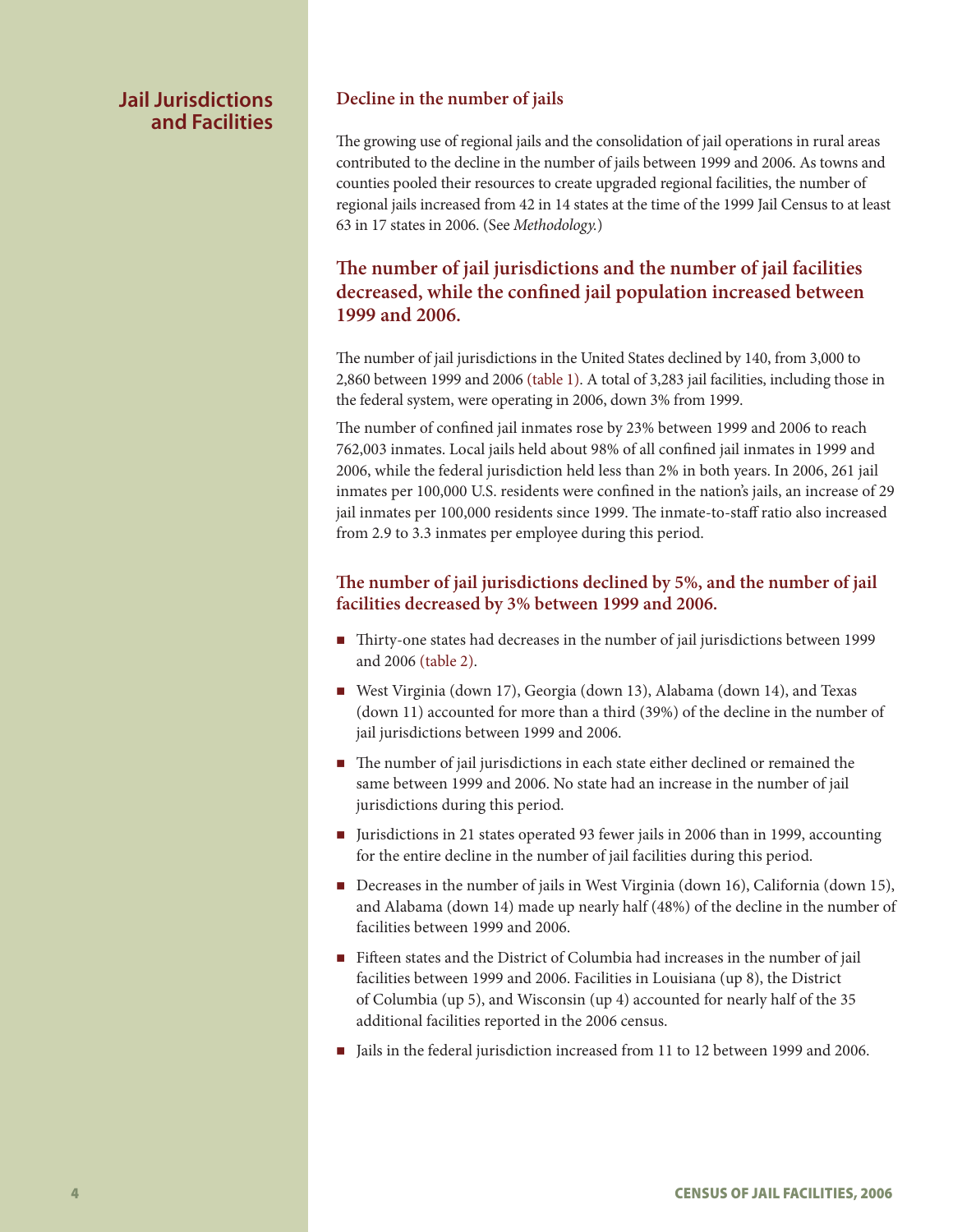# **Jail Jurisdictions and Facilities**

### **Decline in the number of jails**

The growing use of regional jails and the consolidation of jail operations in rural areas contributed to the decline in the number of jails between 1999 and 2006. As towns and counties pooled their resources to create upgraded regional facilities, the number of regional jails increased from 42 in 14 states at the time of the 1999 Jail Census to at least 63 in 17 states in 2006. (See *Methodology.*)

# **The number of jail jurisdictions and the number of jail facilities decreased, while the confined jail population increased between 1999 and 2006.**

The number of jail jurisdictions in the United States declined by 140, from 3,000 to 2,860 between 1999 and 2006 (table 1). A total of 3,283 jail facilities, including those in the federal system, were operating in 2006, down 3% from 1999.

The number of confined jail inmates rose by 23% between 1999 and 2006 to reach 762,003 inmates. Local jails held about 98% of all confined jail inmates in 1999 and 2006, while the federal jurisdiction held less than 2% in both years. In 2006, 261 jail inmates per 100,000 U.S. residents were confined in the nation's jails, an increase of 29 jail inmates per 100,000 residents since 1999. The inmate-to-staff ratio also increased from 2.9 to 3.3 inmates per employee during this period.

# **The number of jail jurisdictions declined by 5%, and the number of jail facilities decreased by 3% between 1999 and 2006.**

- Thirty-one states had decreases in the number of jail jurisdictions between 1999 and 2006 (table 2).
- West Virginia (down 17), Georgia (down 13), Alabama (down 14), and Texas (down 11) accounted for more than a third (39%) of the decline in the number of jail jurisdictions between 1999 and 2006.
- The number of jail jurisdictions in each state either declined or remained the same between 1999 and 2006. No state had an increase in the number of jail jurisdictions during this period.
- Iurisdictions in 21 states operated 93 fewer jails in 2006 than in 1999, accounting for the entire decline in the number of jail facilities during this period.
- Decreases in the number of jails in West Virginia (down 16), California (down 15), and Alabama (down 14) made up nearly half (48%) of the decline in the number of facilities between 1999 and 2006.
- Fifteen states and the District of Columbia had increases in the number of jail facilities between 1999 and 2006. Facilities in Louisiana (up 8), the District of Columbia (up 5), and Wisconsin (up 4) accounted for nearly half of the 35 additional facilities reported in the 2006 census.
- In Jails in the federal jurisdiction increased from 11 to 12 between 1999 and 2006.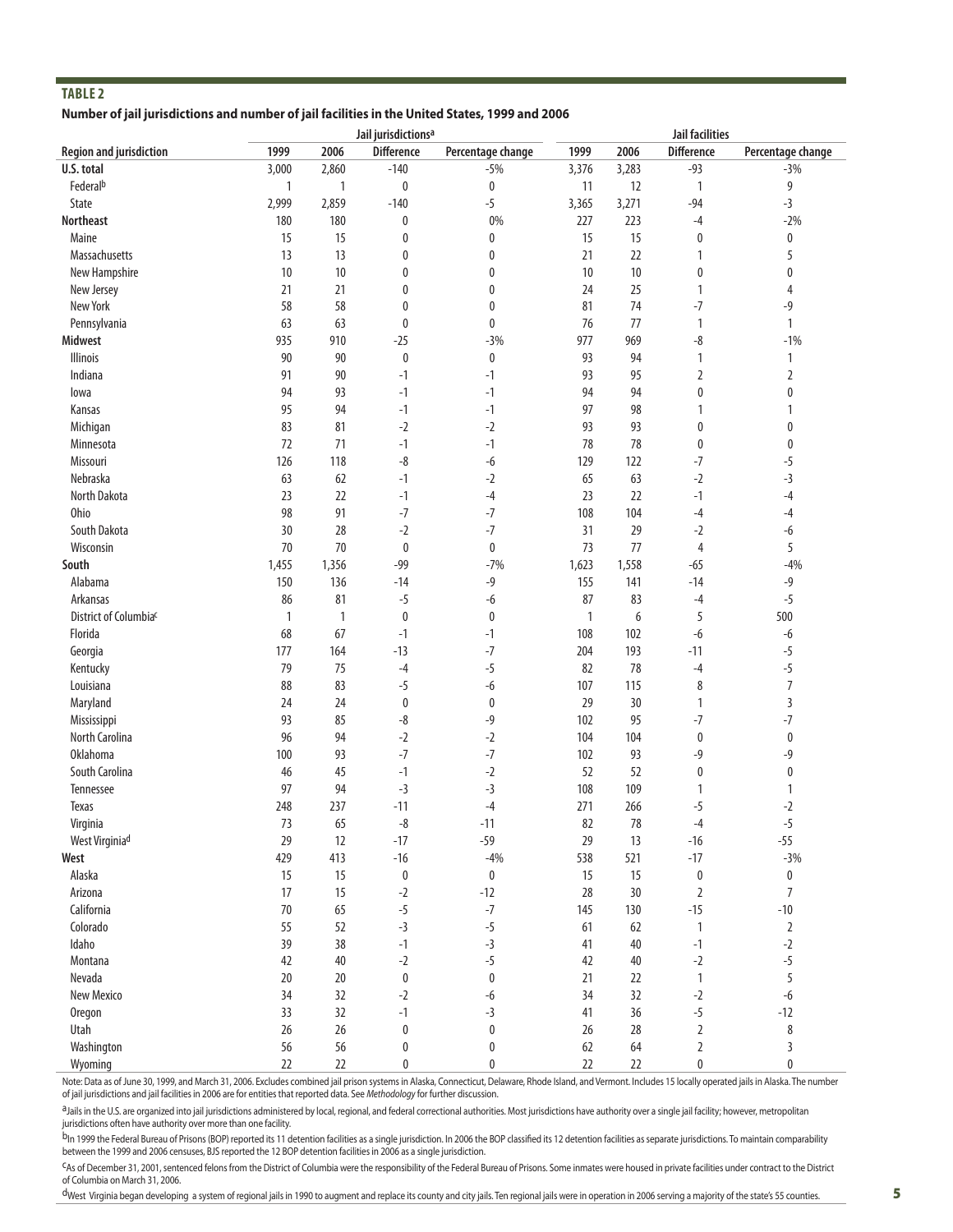#### **Number of jail jurisdictions and number of jail facilities in the United States, 1999 and 2006**

|                                |              |       | Jail jurisdictions <sup>a</sup> |                   | <b>Jail facilities</b> |       |                   |                   |
|--------------------------------|--------------|-------|---------------------------------|-------------------|------------------------|-------|-------------------|-------------------|
| <b>Region and jurisdiction</b> | 1999         | 2006  | <b>Difference</b>               | Percentage change | 1999                   | 2006  | <b>Difference</b> | Percentage change |
| U.S. total                     | 3,000        | 2,860 | $-140$                          | $-5%$             | 3,376                  | 3,283 | $-93$             | $-3%$             |
| Federalb                       | 1            | 1     | 0                               | 0                 | 11                     | 12    | $\mathbf{1}$      | 9                 |
| State                          | 2,999        | 2,859 | $-140$                          | $-5$              | 3,365                  | 3,271 | $-94$             | $-3$              |
| <b>Northeast</b>               | 180          | 180   | 0                               | $0\%$             | 227                    | 223   | $-4$              | $-2%$             |
| Maine                          | 15           | 15    | 0                               | 0                 | 15                     | 15    | $\boldsymbol{0}$  | 0                 |
| Massachusetts                  | 13           | 13    | 0                               | 0                 | 21                     | 22    | 1                 | 5                 |
| New Hampshire                  | 10           | 10    | 0                               | 0                 | 10                     | 10    | 0                 | 0                 |
| New Jersey                     | 21           | 21    | 0                               | 0                 | 24                     | 25    | 1                 | 4                 |
| New York                       | 58           | 58    | 0                               | 0                 | 81                     | 74    | $-7$              | $-9$              |
| Pennsylvania                   | 63           | 63    | 0                               | 0                 | 76                     | 77    | 1                 | 1                 |
| <b>Midwest</b>                 | 935          | 910   | $-25$                           | $-3%$             | 977                    | 969   | -8                | $-1%$             |
| Illinois                       | 90           | 90    | 0                               | 0                 | 93                     | 94    | 1                 | 1                 |
| Indiana                        | 91           | 90    | $-1$                            | $-1$              | 93                     | 95    | $\overline{2}$    | 2                 |
| lowa                           | 94           | 93    | $-1$                            | $-1$              | 94                     | 94    | 0                 | 0                 |
| Kansas                         | 95           | 94    | $-1$                            | $-1$              | 97                     | 98    | 1                 |                   |
| Michigan                       | 83           | 81    | $-2$                            | $-2$              | 93                     | 93    | 0                 | 0                 |
| Minnesota                      | 72           | 71    | $-1$                            | $-1$              | 78                     | 78    | $\bf{0}$          | 0                 |
| Missouri                       | 126          | 118   | -8                              | $-6$              | 129                    | 122   | $-7$              | -5                |
| Nebraska                       | 63           | 62    | $-1$                            | $-2$              | 65                     | 63    | $-2$              | $-3$              |
| North Dakota                   | 23           | 22    | $-1$                            | -4                | 23                     | 22    | $-1$              | -4                |
| Ohio                           | 98           | 91    | $-7$                            | $-7$              | 108                    | 104   | -4                |                   |
| South Dakota                   | 30           | 28    | $-2$                            | $-7$              | 31                     | 29    | $-2$              | -4<br>-6          |
|                                |              |       |                                 |                   |                        |       |                   |                   |
| Wisconsin<br>South             | 70           | 70    | $\bf{0}$<br>$-99$               | 0<br>$-7%$        | 73                     | 77    | 4                 | 5<br>$-4%$        |
|                                | 1,455        | 1,356 |                                 |                   | 1,623                  | 1,558 | $-65$             |                   |
| Alabama                        | 150          | 136   | $-14$                           | -9                | 155                    | 141   | $-14$             | $-9$              |
| Arkansas                       | 86           | 81    | $-5$                            | $-6$              | 87                     | 83    | $-4$              | $-5$              |
| District of Columbiac          | $\mathbf{1}$ | 1     | 0                               | 0                 | 1                      | 6     | 5                 | 500               |
| Florida                        | 68           | 67    | $-1$                            | $-1$              | 108                    | 102   | -6                | $-6$              |
| Georgia                        | 177          | 164   | $-13$                           | $-7$              | 204                    | 193   | $-11$             | $-5$              |
| Kentucky                       | 79           | 75    | $-4$                            | $-5$              | 82                     | 78    | $-4$              | $-5$              |
| Louisiana                      | 88           | 83    | $-5$                            | $-6$              | 107                    | 115   | 8                 | $\overline{7}$    |
| Maryland                       | 24           | 24    | 0                               | 0                 | 29                     | 30    | 1                 | 3                 |
| Mississippi                    | 93           | 85    | -8                              | $-9$              | 102                    | 95    | $-7$              | $-7$              |
| North Carolina                 | 96           | 94    | $-2$                            | $-2$              | 104                    | 104   | $\bf{0}$          | 0                 |
| <b>Oklahoma</b>                | 100          | 93    | $-7$                            | $-7$              | 102                    | 93    | -9                | $-9$              |
| South Carolina                 | 46           | 45    | $-1$                            | $-2$              | 52                     | 52    | 0                 | 0                 |
| Tennessee                      | 97           | 94    | $-3$                            | $-3$              | 108                    | 109   |                   | 1                 |
| <b>Texas</b>                   | 248          | 237   | $-11$                           | $-4$              | 271                    | 266   | $-5$              | $-2$              |
| Virginia                       | 73           | 65    | $-8$                            | $-11$             | 82                     | 78    | $-4$              | -5                |
| West Virginiad                 | 29           | 12    | $-17$                           | $-59$             | 29                     | 13    | $-16$             | $-55$             |
| West                           | 429          | 413   | $-16$                           | $-4%$             | 538                    | 521   | $-17$             | $-3%$             |
| Alaska                         | 15           | 15    | 0                               | $\pmb{0}$         | 15                     | 15    | $\boldsymbol{0}$  | 0                 |
| Arizona                        | 17           | 15    | $-2$                            | $-12$             | 28                     | 30    | $\overline{2}$    | $\overline{7}$    |
| California                     | 70           | 65    | $-5$                            | $-7$              | 145                    | 130   | $-15$             | $-10$             |
| Colorado                       | 55           | 52    | $-3$                            | $-5$              | 61                     | 62    | $\mathbf{1}$      | $\overline{2}$    |
| Idaho                          | 39           | 38    | $-1$                            | $-3$              | 41                     | 40    | $-1$              | $-2$              |
| Montana                        | 42           | 40    | $-2$                            | $-5$              | 42                     | 40    | $-2$              | $-5$              |
| Nevada                         | 20           | 20    | 0                               | 0                 | 21                     | 22    | $\mathbf{1}$      | 5                 |
| New Mexico                     | 34           | 32    | $-2$                            | -6                | 34                     | 32    | $-2$              | $-6$              |
| <b>Oregon</b>                  | 33           | 32    | $-1$                            | $-3$              | 41                     | 36    | $-5$              | $-12$             |
| Utah                           | 26           | 26    | 0                               | 0                 | 26                     | 28    | $\overline{2}$    | 8                 |
| Washington                     | 56           | 56    | 0                               | 0                 | 62                     | 64    | 2                 | 3                 |
| Wyoming                        | 22           | 22    | 0                               | 0                 | 22                     | 22    | 0                 | 0                 |

Note: Data as of June 30, 1999, and March 31, 2006. Excludes combined jail prison systems in Alaska, Connecticut, Delaware, Rhode Island, and Vermont. Includes 15 locally operated jails in Alaska. The number of jail jurisdictions and jail facilities in 2006 are for entities that reported data. See *Methodology* for further discussion.

a Jails in the U.S. are organized into jail jurisdictions administered by local, regional, and federal correctional authorities. Most jurisdictions have authority over a single jail facility; however, metropolitan jurisdictions often have authority over more than one facility.

<sup>b</sup>In 1999 the Federal Bureau of Prisons (BOP) reported its 11 detention facilities as a single jurisdiction. In 2006 the BOP classified its 12 detention facilities as separate jurisdictions. To maintain comparability between the 1999 and 2006 censuses, BJS reported the 12 BOP detention facilities in 2006 as a single jurisdiction.

cAs of December 31, 2001, sentenced felons from the District of Columbia were the responsibility of the Federal Bureau of Prisons. Some inmates were housed in private facilities under contract to the District of Columbia on March 31, 2006.

dWest Virginia began developing a system of regional jails in 1990 to augment and replace its county and city jails. Ten regional jails were in operation in 2006 serving a majority of the state's 55 counties.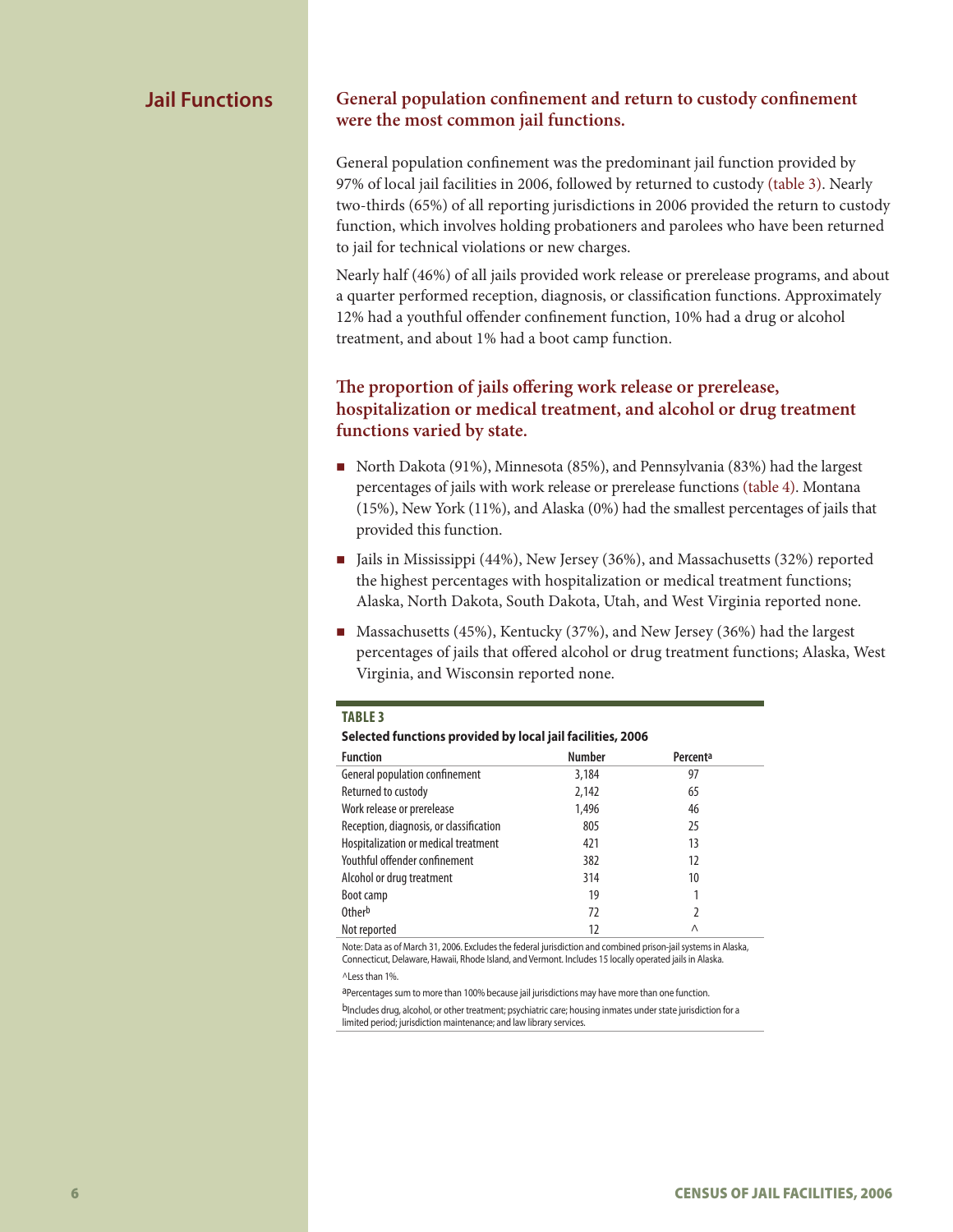### **Jail Functions General population confinement and return to custody confinement were the most common jail functions.**

General population confinement was the predominant jail function provided by 97% of local jail facilities in 2006, followed by returned to custody (table 3). Nearly two-thirds (65%) of all reporting jurisdictions in 2006 provided the return to custody function, which involves holding probationers and parolees who have been returned to jail for technical violations or new charges.

Nearly half (46%) of all jails provided work release or prerelease programs, and about a quarter performed reception, diagnosis, or classification functions. Approximately 12% had a youthful offender confinement function, 10% had a drug or alcohol treatment, and about 1% had a boot camp function.

# **The proportion of jails offering work release or prerelease, hospitalization or medical treatment, and alcohol or drug treatment functions varied by state.**

- North Dakota (91%), Minnesota (85%), and Pennsylvania (83%) had the largest percentages of jails with work release or prerelease functions (table 4). Montana (15%), New York (11%), and Alaska (0%) had the smallest percentages of jails that provided this function.
- Jails in Mississippi (44%), New Jersey (36%), and Massachusetts (32%) reported the highest percentages with hospitalization or medical treatment functions; Alaska, North Dakota, South Dakota, Utah, and West Virginia reported none.
- Massachusetts (45%), Kentucky (37%), and New Jersey (36%) had the largest percentages of jails that offered alcohol or drug treatment functions; Alaska, West Virginia, and Wisconsin reported none.

#### **Table 3**

#### **Selected functions provided by local jail facilities, 2006**

| <b>Function</b>                         | <b>Number</b> | Percent <sup>a</sup> |
|-----------------------------------------|---------------|----------------------|
| General population confinement          | 3,184         | 97                   |
| Returned to custody                     | 2,142         | 65                   |
| Work release or prerelease              | 1,496         | 46                   |
| Reception, diagnosis, or classification | 805           | 25                   |
| Hospitalization or medical treatment    | 421           | 13                   |
| Youthful offender confinement           | 382           | 12                   |
| Alcohol or drug treatment               | 314           | 10                   |
| Boot camp                               | 19            | 1                    |
| Other <sup>b</sup>                      | 72            | 2                    |
| Not reported                            | 12            | Λ                    |

Note: Data as of March 31, 2006. Excludes the federal jurisdiction and combined prison-jail systems in Alaska, Connecticut, Delaware, Hawaii, Rhode Island, and Vermont. Includes 15 locally operated jails in Alaska.

^Less than 1%.

aPercentages sum to more than 100% because jail jurisdictions may have more than one function. b<sub>Includes drug, alcohol, or other treatment; psychiatric care; housing inmates under state jurisdiction for a</sub> limited period; jurisdiction maintenance; and law library services.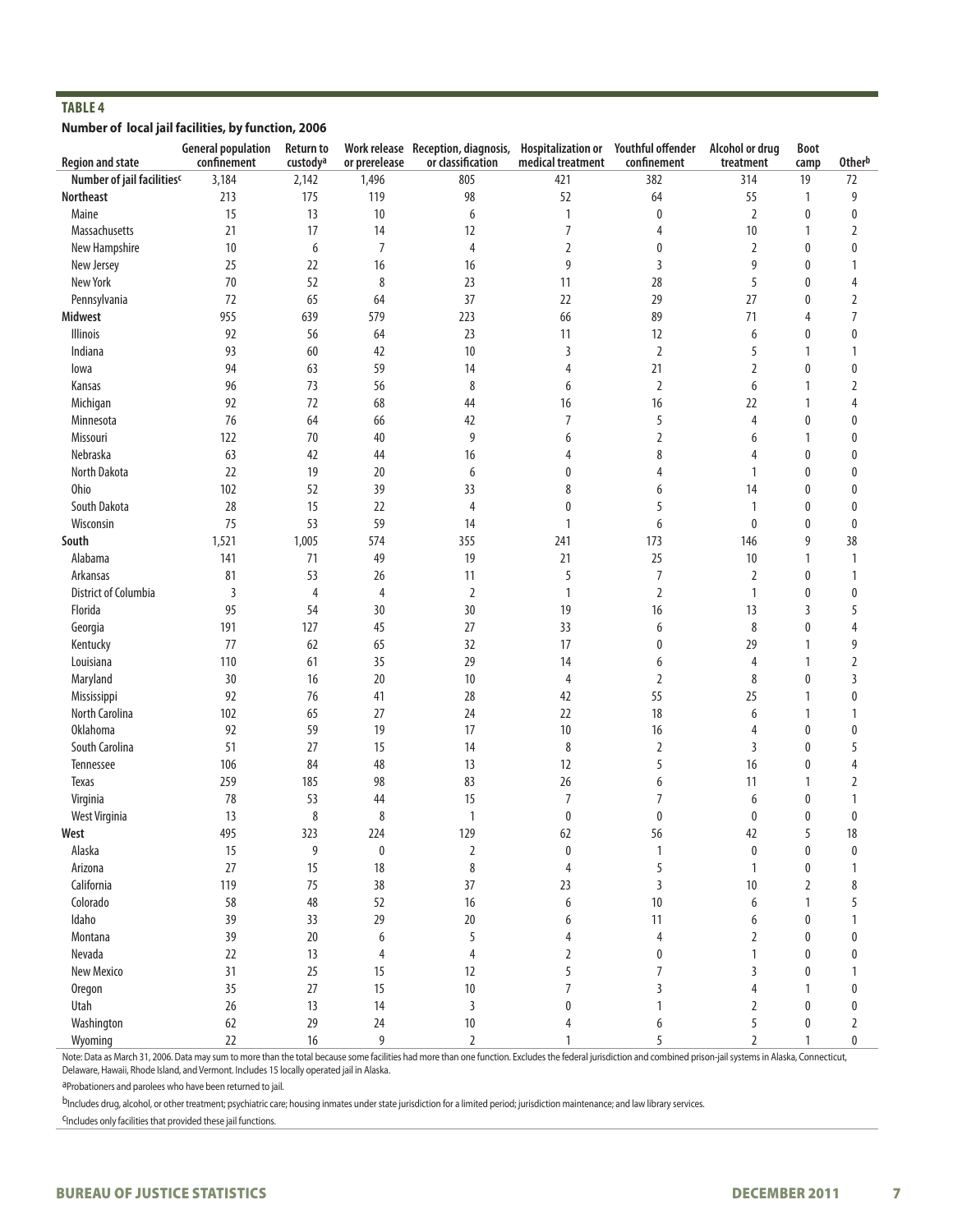#### **Number of local jail facilities, by function, 2006**

| <b>Region and state</b>    | <b>General population</b><br>confinement | <b>Return to</b><br>custodya | or prerelease  | Work release Reception, diagnosis,<br>or classification | <b>Hospitalization or</b><br>medical treatment | Youthful offender<br>confinement | Alcohol or drug<br>treatment | Boot<br>camp | <b>Otherb</b>  |
|----------------------------|------------------------------------------|------------------------------|----------------|---------------------------------------------------------|------------------------------------------------|----------------------------------|------------------------------|--------------|----------------|
| Number of jail facilitiesc | 3,184                                    | 2,142                        | 1,496          | 805                                                     | 421                                            | 382                              | 314                          | 19           | 72             |
| <b>Northeast</b>           | 213                                      | 175                          | 119            | 98                                                      | 52                                             | 64                               | 55                           | 1            | 9              |
| Maine                      | 15                                       | 13                           | 10             | 6                                                       | 1                                              | 0                                | 2                            | 0            | 0              |
| Massachusetts              | 21                                       | 17                           | 14             | 12                                                      | $\overline{7}$                                 | 4                                | 10                           | 1            | $\overline{2}$ |
| New Hampshire              | 10                                       | 6                            | $\overline{7}$ | 4                                                       | $\overline{2}$                                 | 0                                | $\overline{2}$               | 0            | $\bf{0}$       |
| New Jersey                 | 25                                       | 22                           | 16             | 16                                                      | 9                                              | 3                                | 9                            | 0            | 1              |
| New York                   | 70                                       | 52                           | 8              | 23                                                      | 11                                             | 28                               | 5                            | $\mathbf{0}$ | $\overline{4}$ |
| Pennsylvania               | 72                                       | 65                           | 64             | 37                                                      | 22                                             | 29                               | 27                           | 0            | $\overline{2}$ |
| <b>Midwest</b>             | 955                                      | 639                          | 579            | 223                                                     | 66                                             | 89                               | 71                           | 4            | $\overline{7}$ |
| Illinois                   | 92                                       | 56                           | 64             | 23                                                      | 11                                             | 12                               | 6                            | 0            | $\pmb{0}$      |
| Indiana                    | 93                                       | 60                           | 42             | 10                                                      |                                                |                                  | 5                            | 1            | 1              |
|                            | 94                                       | 63                           | 59             |                                                         | 3                                              | $\overline{2}$<br>21             |                              | 0            |                |
| lowa                       |                                          |                              |                | 14                                                      | 4                                              |                                  | 2                            |              | 0              |
| Kansas                     | 96                                       | 73                           | 56             | 8                                                       | 6                                              | 2                                | 6                            | 1            | $\overline{2}$ |
| Michigan                   | 92                                       | 72                           | 68             | 44                                                      | 16                                             | 16                               | 22                           | 1            | $\overline{4}$ |
| Minnesota                  | 76                                       | 64                           | 66             | 42                                                      | $\overline{7}$                                 | 5                                | 4                            | 0            | $\bf{0}$       |
| Missouri                   | 122                                      | 70                           | 40             | 9                                                       | 6                                              | 2                                | 6                            | 1            | $\bf{0}$       |
| Nebraska                   | 63                                       | 42                           | 44             | 16                                                      | 4                                              | 8                                | 4                            | 0            | $\bf{0}$       |
| North Dakota               | 22                                       | 19                           | 20             | 6                                                       | 0                                              | 4                                | 1                            | 0            | $\bf{0}$       |
| Ohio                       | 102                                      | 52                           | 39             | 33                                                      | 8                                              | 6                                | 14                           | $\mathbf{0}$ | 0              |
| South Dakota               | 28                                       | 15                           | 22             | 4                                                       | $\mathbf{0}$                                   | 5                                | 1                            | $\mathbf{0}$ | $\mathbf{0}$   |
| Wisconsin                  | 75                                       | 53                           | 59             | 14                                                      | $\mathbf{1}$                                   | 6                                | 0                            | 0            | $\mathbf{0}$   |
| South                      | 1,521                                    | 1,005                        | 574            | 355                                                     | 241                                            | 173                              | 146                          | 9            | 38             |
| Alabama                    | 141                                      | 71                           | 49             | 19                                                      | 21                                             | 25                               | 10                           | 1            | $\mathbf{1}$   |
| Arkansas                   | 81                                       | 53                           | 26             | 11                                                      | 5                                              | 7                                | $\overline{2}$               | 0            | $\mathbf{1}$   |
| District of Columbia       | 3                                        | 4                            | 4              | $\overline{2}$                                          | $\mathbf{1}$                                   | 2                                | 1                            | 0            | 0              |
| Florida                    | 95                                       | 54                           | 30             | 30                                                      | 19                                             | 16                               | 13                           | 3            | 5              |
| Georgia                    | 191                                      | 127                          | 45             | 27                                                      | 33                                             | 6                                | 8                            | 0            | 4              |
| Kentucky                   | 77                                       | 62                           | 65             | 32                                                      | 17                                             | 0                                | 29                           | 1            | 9              |
| Louisiana                  | 110                                      | 61                           | 35             | 29                                                      | 14                                             | 6                                | 4                            | 1            | $\overline{2}$ |
| Maryland                   | 30                                       | 16                           | 20             | 10                                                      | 4                                              | $\overline{2}$                   | 8                            | 0            | 3              |
| Mississippi                | 92                                       | 76                           | 41             | 28                                                      | 42                                             | 55                               | 25                           | 1            | $\pmb{0}$      |
| North Carolina             | 102                                      | 65                           | 27             | 24                                                      | 22                                             | 18                               | 6                            | 1            | 1              |
| <b>Oklahoma</b>            | 92                                       | 59                           | 19             | 17                                                      | 10                                             | 16                               | 4                            | $\mathbf{0}$ | $\mathbf{0}$   |
| South Carolina             | 51                                       | 27                           | 15             | 14                                                      | 8                                              | 2                                | 3                            | 0            | 5              |
| Tennessee                  | 106                                      | 84                           | 48             | 13                                                      | 12                                             | 5                                | 16                           | 0            | 4              |
| Texas                      | 259                                      | 185                          | 98             | 83                                                      | 26                                             | 6                                | 11                           | 1            | $\overline{2}$ |
| Virginia                   | 78                                       | 53                           | 44             | 15                                                      | $\overline{7}$                                 | 7                                | 6                            | 0            | 1              |
| West Virginia              | 13                                       | 8                            | 8              | $\mathbf{1}$                                            | $\bf{0}$                                       | 0                                | 0                            | 0            | $\bf{0}$       |
| West                       | 495                                      | 323                          | 224            | 129                                                     | 62                                             | 56                               | 42                           |              | 18             |
| Alaska                     | 15                                       | 9                            | 0              | $\overline{2}$                                          | 0                                              | 1                                | $\pmb{0}$                    | 0            | $\mathbf{0}$   |
| Arizona                    | 27                                       | 15                           | 18             | 8                                                       | $\overline{4}$                                 | 5                                | 1                            | 0            | $\mathbf{1}$   |
| California                 | 119                                      | 75                           | 38             | 37                                                      | 23                                             | 3                                | $10\,$                       | 2            | 8              |
| Colorado                   | 58                                       | 48                           | 52             | 16                                                      | 6                                              | 10                               | 6                            | 1            | 5              |
| Idaho                      | 39                                       | 33                           | 29             | 20                                                      | 6                                              | 11                               | 6                            | 0            | 1              |
| Montana                    | 39                                       | 20                           | 6              | 5                                                       | 4                                              | $\overline{4}$                   | 2                            | 0            | 0              |
| Nevada                     | 22                                       | 13                           | 4              | $\overline{4}$                                          | $\overline{2}$                                 | 0                                | 1                            | $\mathbf{0}$ | $\mathbf{0}$   |
| New Mexico                 | 31                                       | 25                           | 15             | 12                                                      | 5                                              | 7                                | 3                            | 0            | 1              |
| Oregon                     | 35                                       | 27                           | 15             | 10                                                      | 7                                              | 3                                | 4                            | 1            | 0              |
| Utah                       | 26                                       | 13                           | 14             | 3                                                       | $\mathbf{0}$                                   | 1                                | 2                            | $\mathbf{0}$ | $\pmb{0}$      |
| Washington                 | 62                                       | 29                           | 24             | 10                                                      | 4                                              | 6                                | 5                            | 0            | $\overline{2}$ |
| Wyoming                    | 22                                       | 16                           | 9              | $\overline{2}$                                          | 1                                              | 5                                | 2                            | $\mathbf{1}$ | 0              |

Note: Data as March 31, 2006. Data may sum to more than the total because some facilities had more than one function. Excludes the federal jurisdiction and combined prison-jail systems in Alaska, Connecticut, Delaware, Hawaii, Rhode Island, and Vermont. Includes 15 locally operated jail in Alaska.

aProbationers and parolees who have been returned to jail.

bIncludes drug, alcohol, or other treatment; psychiatric care; housing inmates under state jurisdiction for a limited period; jurisdiction maintenance; and law library services.

cIncludes only facilities that provided these jail functions.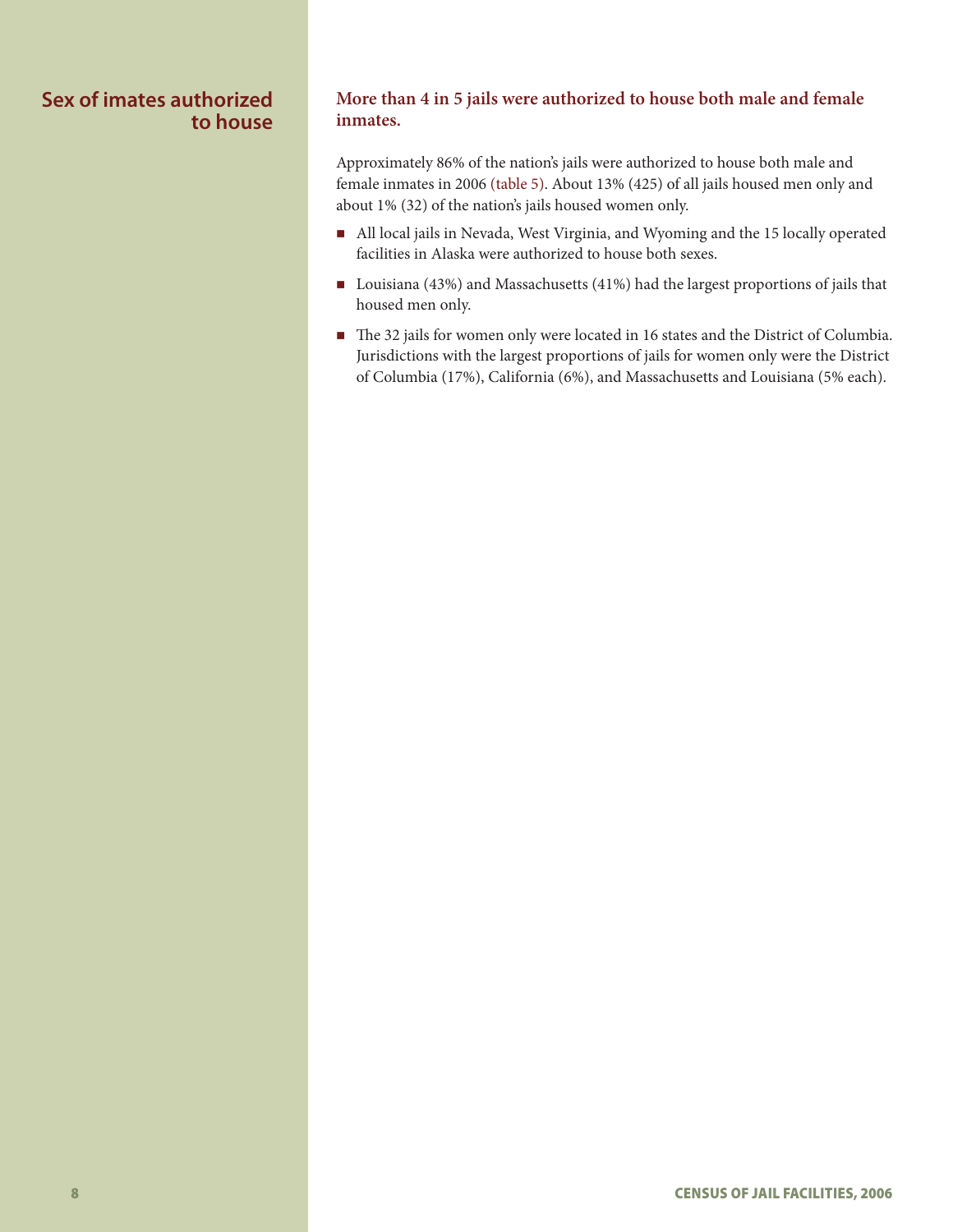# **Sex of imates authorized to house**

# **More than 4 in 5 jails were authorized to house both male and female inmates.**

Approximately 86% of the nation's jails were authorized to house both male and female inmates in 2006 (table 5). About 13% (425) of all jails housed men only and about 1% (32) of the nation's jails housed women only.

- All local jails in Nevada, West Virginia, and Wyoming and the 15 locally operated facilities in Alaska were authorized to house both sexes.
- Louisiana (43%) and Massachusetts (41%) had the largest proportions of jails that housed men only.
- The 32 jails for women only were located in 16 states and the District of Columbia. Jurisdictions with the largest proportions of jails for women only were the District of Columbia (17%), California (6%), and Massachusetts and Louisiana (5% each).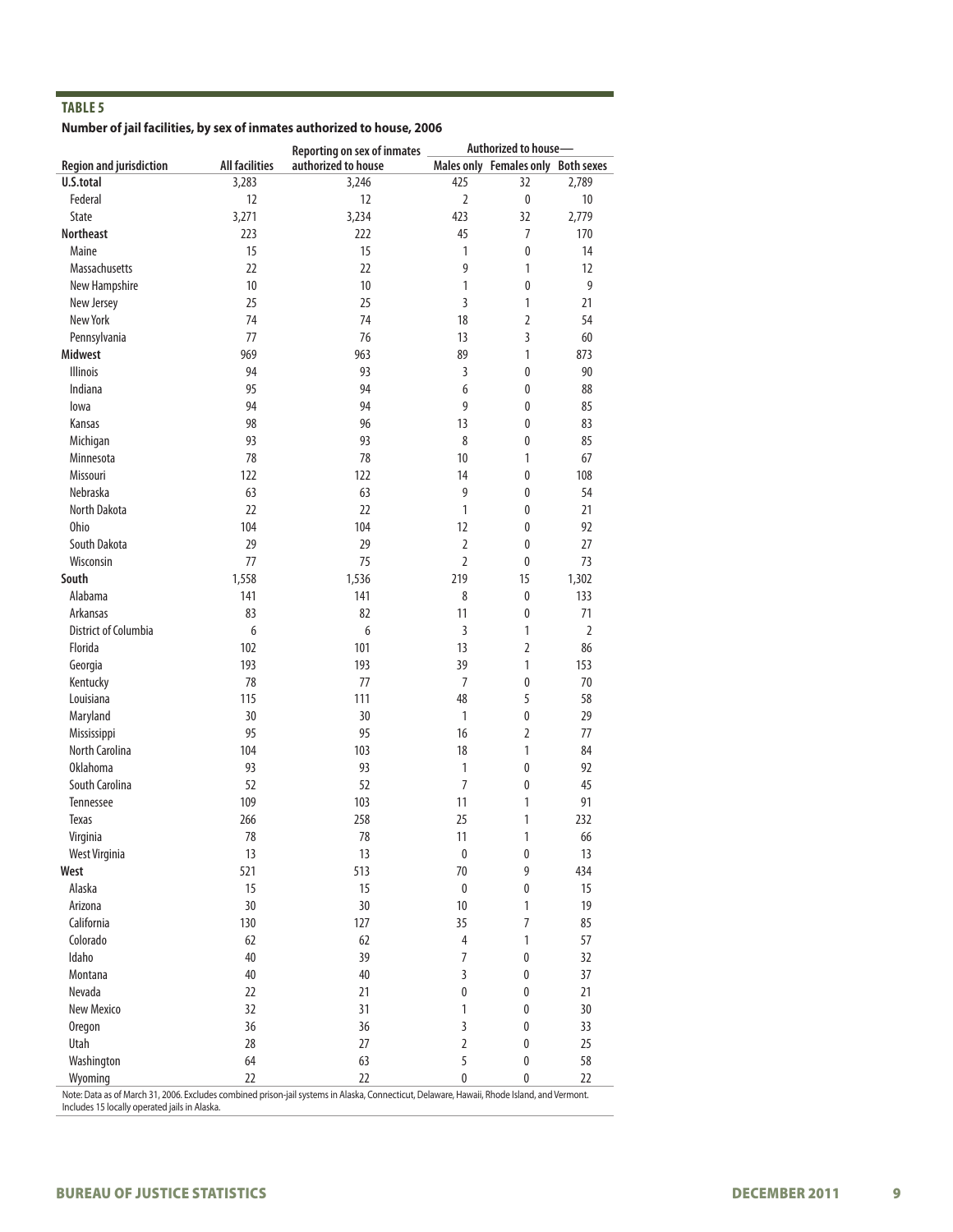**Number of jail facilities, by sex of inmates authorized to house, 2006**

|                                      |                       | <b>Reporting on sex of inmates</b> |                | Authorized to house-               |                |  |  |
|--------------------------------------|-----------------------|------------------------------------|----------------|------------------------------------|----------------|--|--|
| <b>Region and jurisdiction</b>       | <b>All facilities</b> | authorized to house                |                | Males only Females only Both sexes |                |  |  |
| U.S.total                            | 3,283                 | 3,246                              | 425            | 32                                 | 2,789          |  |  |
| Federal                              | 12                    | 12                                 | $\overline{2}$ | $\mathbf 0$                        | 10             |  |  |
| State                                | 3,271                 | 3,234                              | 423            | 32                                 | 2,779          |  |  |
| <b>Northeast</b>                     | 223                   | 222                                | 45             | 7                                  | 170            |  |  |
| Maine                                | 15                    | 15                                 | $\mathbf{1}$   | $\mathbf 0$                        | 14             |  |  |
| Massachusetts                        | 22                    | 22                                 | 9              | $\mathbf{1}$                       | 12             |  |  |
| New Hampshire                        | 10                    | 10                                 | $\mathbf{1}$   | $\mathbf 0$                        | 9              |  |  |
| New Jersey                           | 25                    | 25                                 | 3              | 1                                  | 21             |  |  |
| New York                             | 74                    | 74                                 | 18             | 2                                  | 54             |  |  |
| Pennsylvania                         | 77                    | 76                                 | 13             | 3                                  | 60             |  |  |
| <b>Midwest</b>                       | 969                   | 963                                | 89             | 1                                  | 873            |  |  |
| <b>Illinois</b>                      | 94                    | 93                                 | $\overline{3}$ | $\pmb{0}$                          | 90             |  |  |
| Indiana                              | 95                    | 94                                 | 6              | 0                                  | 88             |  |  |
| lowa                                 | 94                    | 94                                 | 9              | 0                                  | 85             |  |  |
| Kansas                               | 98                    | 96                                 | 13             | 0                                  | 83             |  |  |
| Michigan                             | 93                    | 93                                 | 8              | 0                                  | 85             |  |  |
| Minnesota                            | 78                    | 78                                 | 10             | 1                                  | 67             |  |  |
| Missouri                             | 122                   | 122                                | 14             | $\pmb{0}$                          | 108            |  |  |
| Nebraska                             | 63                    | 63                                 | 9              | 0                                  | 54             |  |  |
| North Dakota                         | 22                    | 22                                 | $\mathbf{1}$   | 0                                  | 21             |  |  |
| <b>Ohio</b>                          | 104                   | 104                                | 12             | 0                                  | 92             |  |  |
| South Dakota                         | 29                    | 29                                 | $\overline{2}$ | $\pmb{0}$                          | 27             |  |  |
| Wisconsin                            | 77                    | 75                                 | $\overline{2}$ | 0                                  | 73             |  |  |
| South                                | 1,558                 | 1,536                              | 219            | 15                                 | 1,302          |  |  |
| Alabama                              | 141                   | 141                                | 8              | $\pmb{0}$                          | 133            |  |  |
| Arkansas                             | 83                    | 82                                 | 11             | 0                                  | 71             |  |  |
| <b>District of Columbia</b>          | 6                     | 6                                  | $\overline{3}$ | 1                                  | $\overline{2}$ |  |  |
| Florida                              | 102                   | 101                                | 13             | 2                                  | 86             |  |  |
| Georgia                              | 193                   | 193                                | 39             | 1                                  | 153            |  |  |
| Kentucky                             | 78                    | 77                                 | $\overline{7}$ | $\pmb{0}$                          | 70             |  |  |
| Louisiana                            | 115                   | 111                                | 48             | 5                                  | 58             |  |  |
| Maryland                             | 30                    | 30                                 | 1              | $\pmb{0}$                          | 29             |  |  |
|                                      | 95                    | 95                                 | 16             | $\overline{2}$                     | 77             |  |  |
| Mississippi<br><b>North Carolina</b> | 104                   | 103                                | 18             | 1                                  | 84             |  |  |
| <b>Oklahoma</b>                      | 93                    | 93                                 | $\mathbf{1}$   | $\pmb{0}$                          | 92             |  |  |
| South Carolina                       | 52                    | 52                                 | $\overline{7}$ | 0                                  | 45             |  |  |
| Tennessee                            | 109                   | 103                                | 11             | 1                                  | 91             |  |  |
| <b>Texas</b>                         | 266                   | 258                                | 25             | 1                                  | 232            |  |  |
|                                      |                       |                                    |                |                                    |                |  |  |
| Virginia                             | 78                    | 78                                 | 11             | $\mathbf{1}$                       | 66             |  |  |
| West Virginia                        | 13                    | 13                                 | $\pmb{0}$      | 0                                  | 13             |  |  |
| West                                 | 521                   | 513                                | 70             | 9                                  | 434            |  |  |
| Alaska                               | 15                    | 15                                 | $\pmb{0}$      | 0                                  | 15             |  |  |
| Arizona                              | 30                    | 30                                 | 10             | 1                                  | 19             |  |  |
| California                           | 130                   | 127                                | 35             | $\overline{7}$                     | 85             |  |  |
| Colorado                             | 62                    | 62                                 | 4              | $\mathbf{1}$                       | 57             |  |  |
| Idaho                                | 40                    | 39                                 | $\overline{7}$ | $\pmb{0}$                          | 32             |  |  |
| Montana                              | 40                    | 40                                 | 3              | $\pmb{0}$                          | 37             |  |  |
| Nevada                               | 22                    | 21                                 | 0              | $\pmb{0}$                          | 21             |  |  |
| <b>New Mexico</b>                    | 32                    | 31                                 | 1              | $\pmb{0}$                          | 30             |  |  |
| <b>Oregon</b>                        | 36                    | 36                                 | 3              | $\pmb{0}$                          | 33             |  |  |
| Utah                                 | 28                    | 27                                 | $\overline{2}$ | $\pmb{0}$                          | 25             |  |  |
| Washington                           | 64                    | 63                                 | 5              | $\pmb{0}$                          | 58             |  |  |
| Wyoming                              | 22                    | 22                                 | 0              | $\pmb{0}$                          | 22             |  |  |

Note: Data as of March 31, 2006. Excludes combined prison-jail systems in Alaska, Connecticut, Delaware, Hawaii, Rhode Island, and Vermont. Includes 15 locally operated jails in Alaska.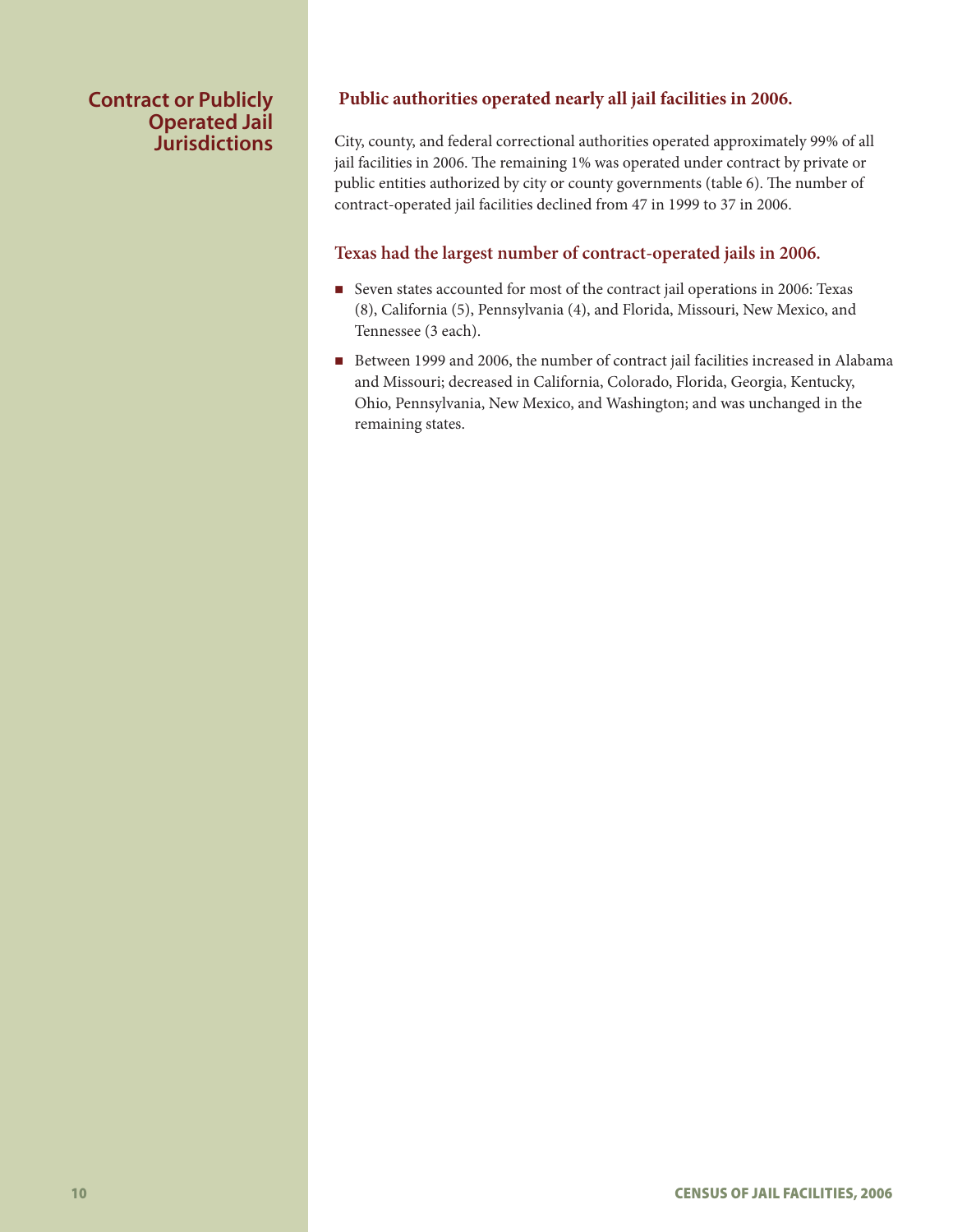# **Contract or Publicly Operated Jail Jurisdictions**

# **Public authorities operated nearly all jail facilities in 2006.**

City, county, and federal correctional authorities operated approximately 99% of all jail facilities in 2006. The remaining 1% was operated under contract by private or public entities authorized by city or county governments (table 6). The number of contract-operated jail facilities declined from 47 in 1999 to 37 in 2006.

# **Texas had the largest number of contract-operated jails in 2006.**

- Seven states accounted for most of the contract jail operations in 2006: Texas (8), California (5), Pennsylvania (4), and Florida, Missouri, New Mexico, and Tennessee (3 each).
- Between 1999 and 2006, the number of contract jail facilities increased in Alabama and Missouri; decreased in California, Colorado, Florida, Georgia, Kentucky, Ohio, Pennsylvania, New Mexico, and Washington; and was unchanged in the remaining states.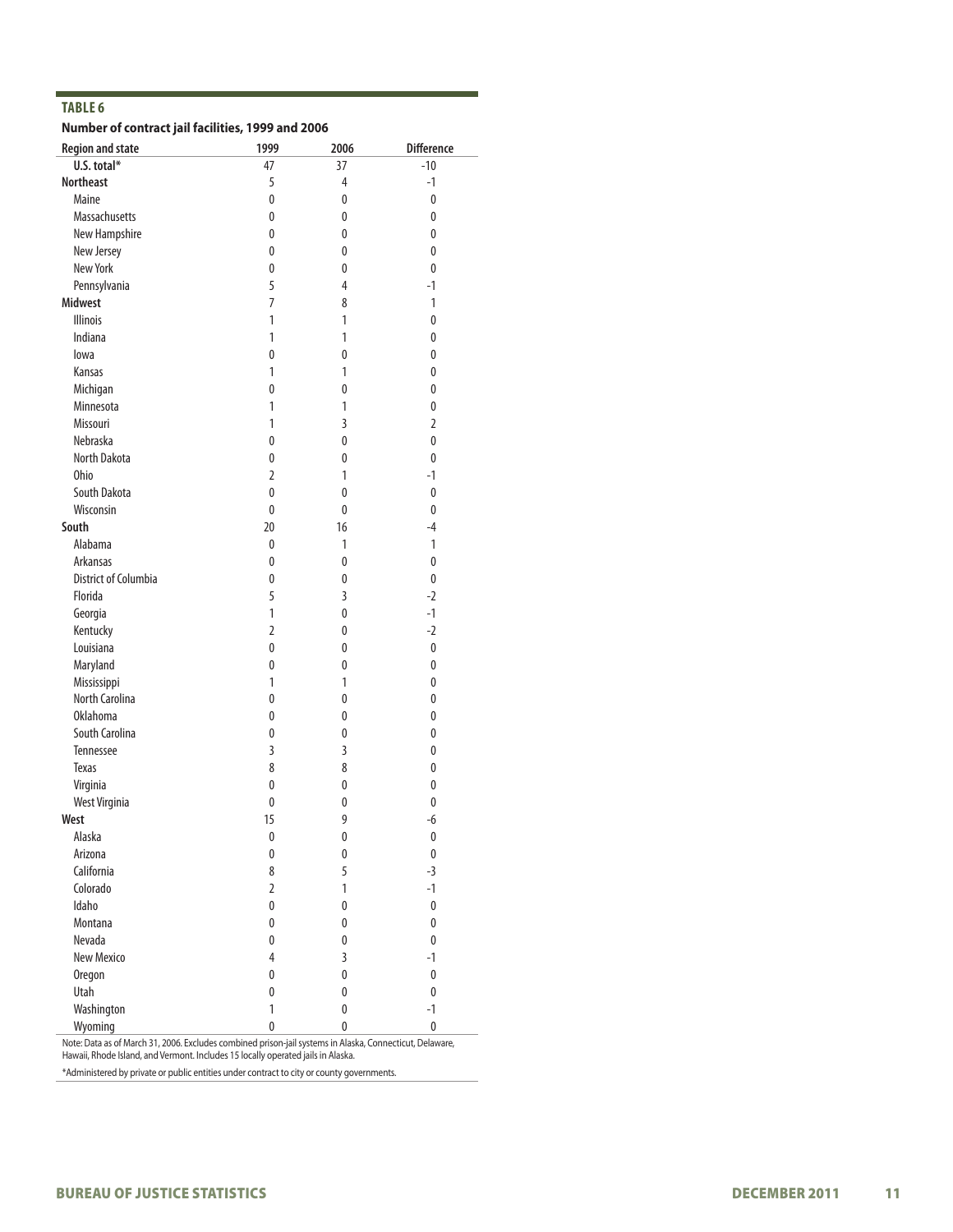# **Number of contract jail facilities, 1999 and 2006**

| <b>Region and state</b> | 1999           | 2006           | <b>Difference</b> |
|-------------------------|----------------|----------------|-------------------|
| U.S. total*             | 47             | 37             | $-10$             |
| <b>Northeast</b>        | 5              | $\overline{4}$ | $-1$              |
| Maine                   | $\pmb{0}$      | 0              | $\mathbf{0}$      |
| Massachusetts           | 0              | 0              | 0                 |
| New Hampshire           | 0              | 0              | 0                 |
| New Jersey              | 0              | 0              | 0                 |
| New York                | 0              | 0              | 0                 |
| Pennsylvania            | 5              | 4              | $-1$              |
| <b>Midwest</b>          | 7              | 8              | 1                 |
| <b>Illinois</b>         | 1              | 1              | 0                 |
| Indiana                 | 1              | 1              | 0                 |
| lowa                    | 0              | 0              | 0                 |
| Kansas                  | 1              | 1              | 0                 |
| Michigan                | 0              | 0              | 0                 |
| Minnesota               | 1              | $\mathbf{1}$   | 0                 |
| Missouri                | 1              | $\overline{3}$ | $\overline{2}$    |
| Nebraska                | 0              | 0              | 0                 |
| North Dakota            | 0              | 0              | 0                 |
| <b>Ohio</b>             | 2              | 1              | $-1$              |
| South Dakota            | 0              | 0              | 0                 |
| Wisconsin               | 0              | 0              | 0                 |
| South                   | 20             | 16             | $-4$              |
| Alabama                 | $\pmb{0}$      | $\mathbf{1}$   | 1                 |
| Arkansas                | 0              | 0              | 0                 |
| District of Columbia    | 0              | 0              | 0                 |
| Florida                 | 5              | 3              | $-2$              |
| Georgia                 | 1              | 0              | $-1$              |
| Kentucky                | $\overline{2}$ | 0              | $-2$              |
| Louisiana               | 0              | 0              | $\mathbf 0$       |
| Maryland                | 0              | 0              | 0                 |
| Mississippi             | 1              | 1              | 0                 |
| North Carolina          | 0              | 0              | 0                 |
| <b>Oklahoma</b>         | 0              | 0              | 0                 |
| South Carolina          | 0              | 0              | 0                 |
| Tennessee               | 3              | $\overline{3}$ | 0                 |
| <b>Texas</b>            | 8              | 8              | 0                 |
| Virginia                | 0              | 0              | 0                 |
| West Virginia           | 0              | 0              | $\mathbf{0}$      |
| West                    | 15             | 9              | $-6$              |
| Alaska                  | $\pmb{0}$      | $\pmb{0}$      | $\pmb{0}$         |
| Arizona                 | 0              | $\bf{0}$       | $\pmb{0}$         |
| California              | 8              | 5              | $-3$              |
| Colorado                | $\overline{2}$ | $\mathbf{1}$   | $-1$              |
| Idaho                   | 0              | $\pmb{0}$      | $\pmb{0}$         |
| Montana                 | 0              | 0              | $\pmb{0}$         |
| Nevada                  | 0              | 0              | $\pmb{0}$         |
| New Mexico              | $\overline{4}$ | 3              | $-1$              |
| <b>Oregon</b>           | $\pmb{0}$      | $\pmb{0}$      | $\pmb{0}$         |
| Utah                    | 0              | 0              | $\pmb{0}$         |
| Washington              | 1              | 0              | $-1$              |
| Wyoming                 | 0              | $\pmb{0}$      | $\pmb{0}$         |

Note: Data as of March 31, 2006. Excludes combined prison-jail systems in Alaska, Connecticut, Delaware, Hawaii, Rhode Island, and Vermont. Includes 15 locally operated jails in Alaska.

\*Administered by private or public entities under contract to city or county governments.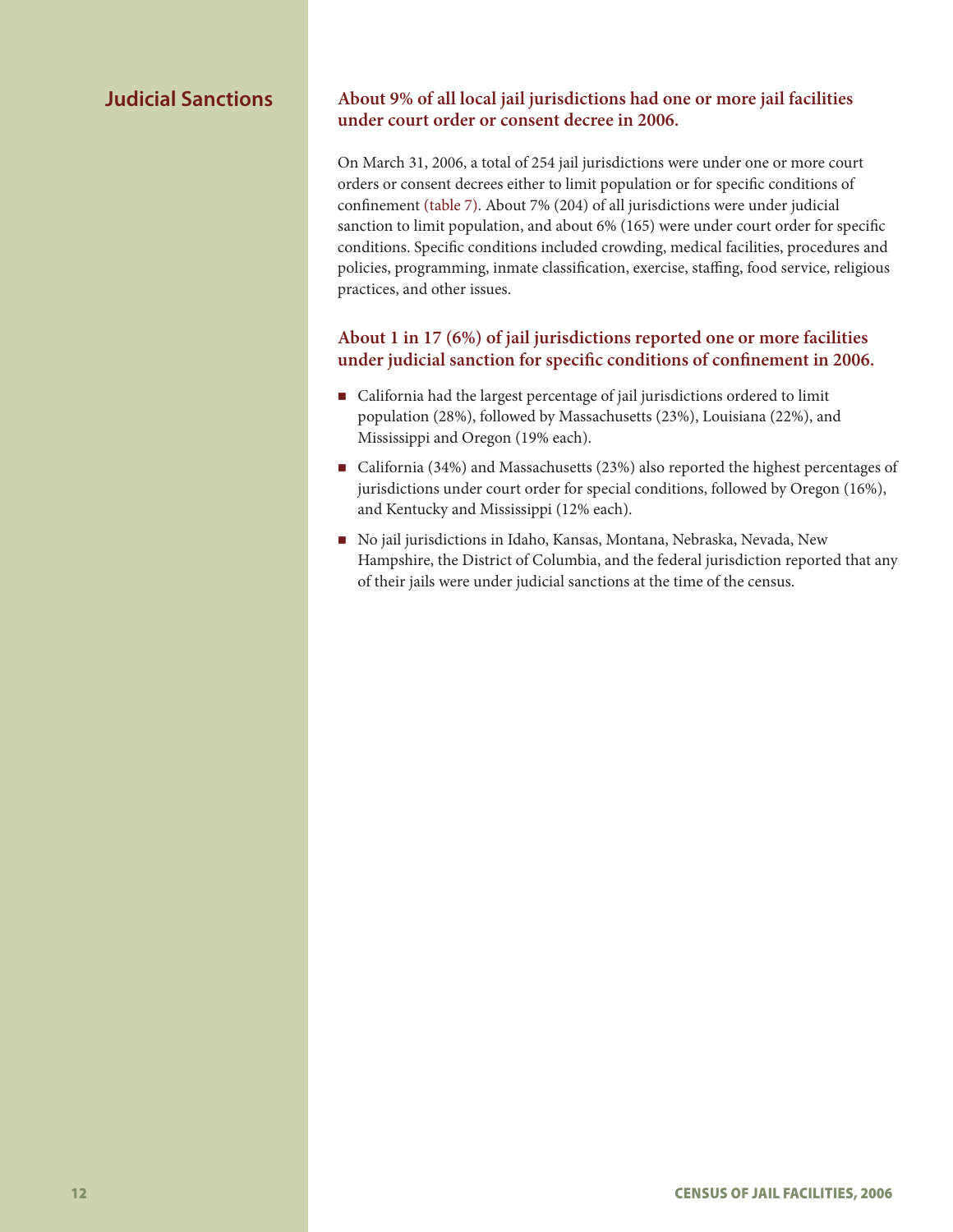# **Judicial Sanctions**

### **About 9% of all local jail jurisdictions had one or more jail facilities under court order or consent decree in 2006.**

On March 31, 2006, a total of 254 jail jurisdictions were under one or more court orders or consent decrees either to limit population or for specific conditions of confinement (table 7). About 7% (204) of all jurisdictions were under judicial sanction to limit population, and about 6% (165) were under court order for specific conditions. Specific conditions included crowding, medical facilities, procedures and policies, programming, inmate classification, exercise, staffing, food service, religious practices, and other issues.

# **About 1 in 17 (6%) of jail jurisdictions reported one or more facilities under judicial sanction for specific conditions of confinement in 2006.**

- California had the largest percentage of jail jurisdictions ordered to limit population (28%), followed by Massachusetts (23%), Louisiana (22%), and Mississippi and Oregon (19% each).
- California (34%) and Massachusetts (23%) also reported the highest percentages of jurisdictions under court order for special conditions, followed by Oregon (16%), and Kentucky and Mississippi (12% each).
- No jail jurisdictions in Idaho, Kansas, Montana, Nebraska, Nevada, New Hampshire, the District of Columbia, and the federal jurisdiction reported that any of their jails were under judicial sanctions at the time of the census.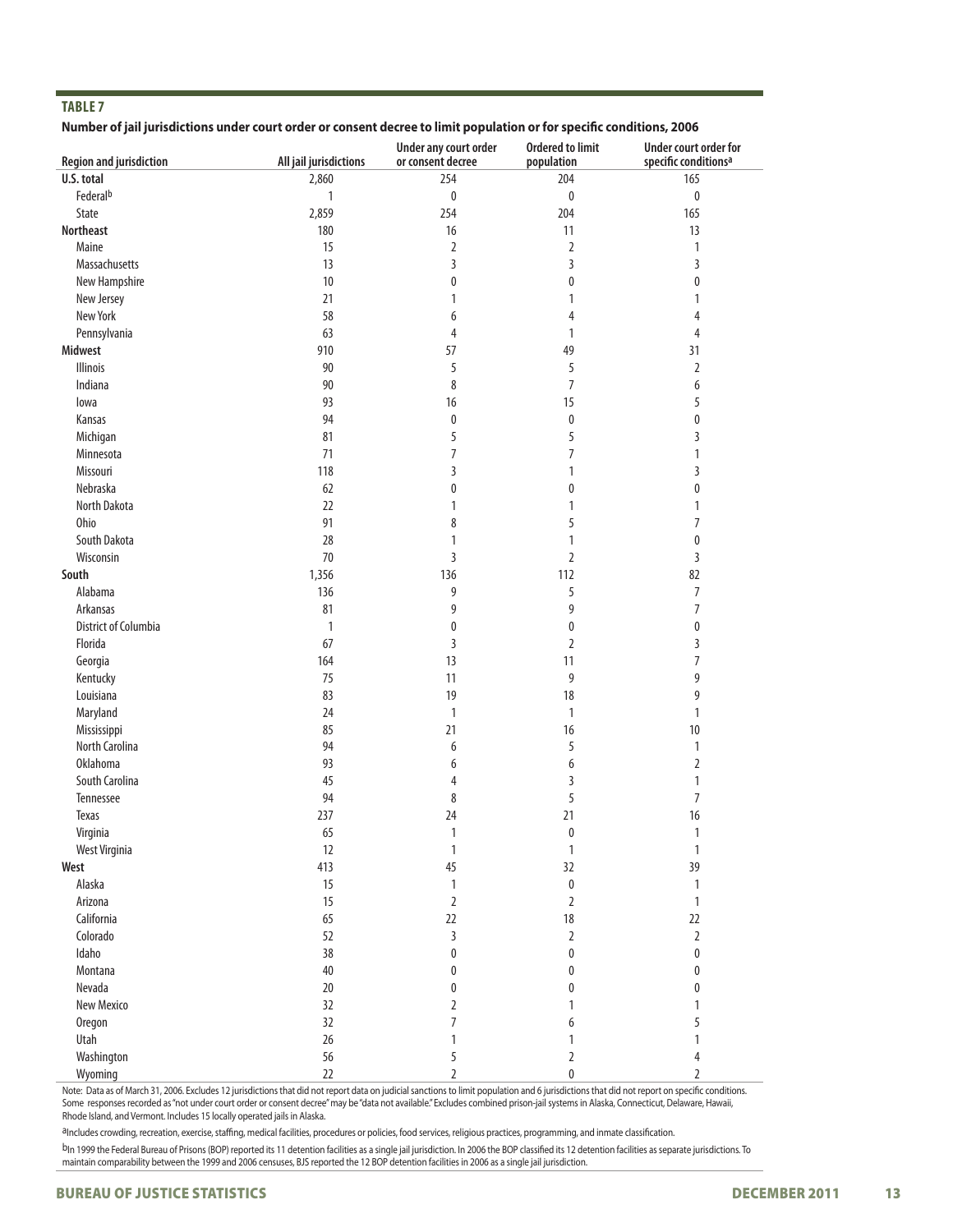#### **Number of jail jurisdictions under court order or consent decree to limit population or for specific conditions, 2006**

| <b>Region and jurisdiction</b> | All jail jurisdictions | Under any court order<br>or consent decree | <b>Ordered to limit</b><br>population | Under court order for<br>specific conditions <sup>a</sup> |
|--------------------------------|------------------------|--------------------------------------------|---------------------------------------|-----------------------------------------------------------|
| U.S. total                     | 2,860                  | 254                                        | 204                                   | 165                                                       |
| Federalb                       |                        | $\pmb{0}$                                  | $\pmb{0}$                             | $\pmb{0}$                                                 |
| State                          | $\mathbf{1}$           | 254                                        | 204                                   | 165                                                       |
|                                | 2,859                  |                                            |                                       |                                                           |
| Northeast                      | 180                    | 16                                         | 11                                    | 13                                                        |
| Maine                          | 15                     | 2                                          | 2                                     | 1                                                         |
| Massachusetts                  | 13                     | 3                                          | 3                                     | 3                                                         |
| New Hampshire                  | 10                     | 0                                          | 0                                     | 0                                                         |
| New Jersey                     | 21                     | 1                                          | 1                                     | 1                                                         |
| New York                       | 58                     | 6                                          | 4                                     | 4                                                         |
| Pennsylvania                   | 63                     | 4                                          | $\mathbf{1}$                          | 4                                                         |
| Midwest                        | 910                    | 57                                         | 49                                    | 31                                                        |
| <b>Illinois</b>                | 90                     | 5                                          | 5                                     | 2                                                         |
| Indiana                        | 90                     | 8                                          | $\overline{7}$                        | 6                                                         |
| lowa                           | 93                     | 16                                         | 15                                    | 5                                                         |
| Kansas                         | 94                     | $\pmb{0}$                                  | $\pmb{0}$                             | 0                                                         |
| Michigan                       | 81                     | 5                                          | 5                                     | 3                                                         |
| Minnesota                      | 71                     | 7                                          | $\overline{7}$                        | 1                                                         |
| Missouri                       | 118                    | 3                                          | 1                                     | 3                                                         |
| Nebraska                       | 62                     | 0                                          | 0                                     | 0                                                         |
| North Dakota                   | 22                     | 1                                          | 1                                     | 1                                                         |
| Ohio                           | 91                     | 8                                          | 5                                     | $\overline{7}$                                            |
| South Dakota                   | 28                     | 1                                          | 1                                     | 0                                                         |
| Wisconsin                      | 70                     | 3                                          | $\overline{2}$                        | 3                                                         |
| South                          | 1,356                  | 136                                        | 112                                   | 82                                                        |
| Alabama                        | 136                    | 9                                          | 5                                     | 7                                                         |
| Arkansas                       | 81                     | 9                                          | 9                                     | 7                                                         |
| <b>District of Columbia</b>    | $\mathbf{1}$           | 0                                          | 0                                     | 0                                                         |
| Florida                        | 67                     | 3                                          | $\overline{2}$                        | 3                                                         |
| Georgia                        | 164                    | 13                                         | 11                                    | 7                                                         |
| Kentucky                       | 75                     | 11                                         | 9                                     | 9                                                         |
| Louisiana                      | 83                     | 19                                         | 18                                    | 9                                                         |
| Maryland                       | 24                     | 1                                          | $\mathbf{1}$                          | 1                                                         |
| Mississippi                    | 85                     | 21                                         | 16                                    | 10                                                        |
| North Carolina                 | 94                     | 6                                          | 5                                     | 1                                                         |
| <b>Oklahoma</b>                | 93                     | 6                                          | 6                                     | 2                                                         |
| South Carolina                 | 45                     | $\overline{4}$                             | 3                                     | 1                                                         |
| Tennessee                      | 94                     | 8                                          | 5                                     | $\overline{7}$                                            |
| Texas                          | 237                    | 24                                         | 21                                    | 16                                                        |
| Virginia                       | 65                     | 1                                          | 0                                     | 1                                                         |
| West Virginia                  | 12                     | $\mathbbm{1}$                              | $\mathbf{1}$                          | $\mathbf{1}$                                              |
| West                           | 413                    | 45                                         | 32                                    | 39                                                        |
| Alaska                         | 15                     | $\mathbbm{1}$                              | $\pmb{0}$                             | 1                                                         |
| Arizona                        | 15                     | $\sqrt{2}$                                 | $\overline{2}$                        | $\mathbf{1}$                                              |
| California                     | 65                     | 22                                         | $18\,$                                | 22                                                        |
| Colorado                       | 52                     | 3                                          | $\overline{2}$                        | $\overline{2}$                                            |
| Idaho                          | 38                     | 0                                          | 0                                     | 0                                                         |
| Montana                        | $40\,$                 | 0                                          | 0                                     | 0                                                         |
| Nevada                         | 20                     | 0                                          | 0                                     | 0                                                         |
| New Mexico                     | 32                     | 2                                          | 1                                     | 1                                                         |
| <b>Oregon</b>                  | 32                     | 7                                          | 6                                     | 5                                                         |
| Utah                           | 26                     | 1                                          | 1                                     | 1                                                         |
| Washington                     | 56                     | 5                                          | 2                                     | 4                                                         |
| Wyoming                        | 22                     | $\overline{2}$                             | 0                                     | 2                                                         |

Note: Data as of March 31, 2006. Excludes 12 jurisdictions that did not report data on judicial sanctions to limit population and 6 jurisdictions that did not report on specific conditions. Some responses recorded as "not under court order or consent decree" may be "data not available." Excludes combined prison-jail systems in Alaska, Connecticut, Delaware, Hawaii, Rhode Island, and Vermont. Includes 15 locally operated jails in Alaska.

aIncludes crowding, recreation, exercise, staffing, medical facilities, procedures or policies, food services, religious practices, programming, and inmate classification.

b<sub>In 1999</sub> the Federal Bureau of Prisons (BOP) reported its 11 detention facilities as a single jail jurisdiction. In 2006 the BOP classified its 12 detention facilities as separate jurisdictions. To maintain comparability between the 1999 and 2006 censuses, BJS reported the 12 BOP detention facilities in 2006 as a single jail jurisdiction.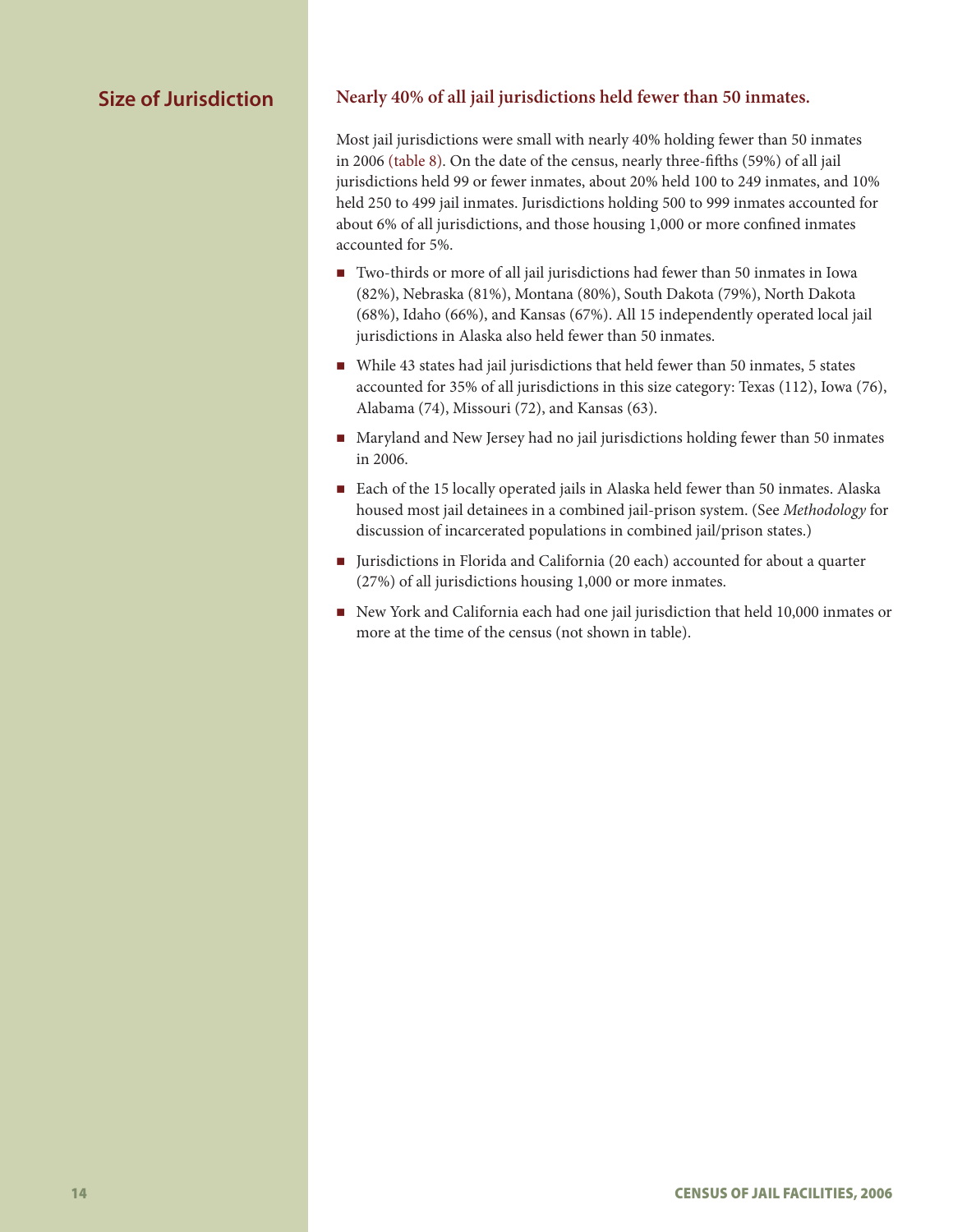# **Size of Jurisdiction**

# **Nearly 40% of all jail jurisdictions held fewer than 50 inmates.**

Most jail jurisdictions were small with nearly 40% holding fewer than 50 inmates in 2006 (table 8). On the date of the census, nearly three-fifths (59%) of all jail jurisdictions held 99 or fewer inmates, about 20% held 100 to 249 inmates, and 10% held 250 to 499 jail inmates. Jurisdictions holding 500 to 999 inmates accounted for about 6% of all jurisdictions, and those housing 1,000 or more confined inmates accounted for 5%.

- Two-thirds or more of all jail jurisdictions had fewer than 50 inmates in Iowa (82%), Nebraska (81%), Montana (80%), South Dakota (79%), North Dakota (68%), Idaho (66%), and Kansas (67%). All 15 independently operated local jail jurisdictions in Alaska also held fewer than 50 inmates.
- While 43 states had jail jurisdictions that held fewer than 50 inmates, 5 states accounted for 35% of all jurisdictions in this size category: Texas (112), Iowa (76), Alabama (74), Missouri (72), and Kansas (63).
- Maryland and New Jersey had no jail jurisdictions holding fewer than 50 inmates in 2006.
- Each of the 15 locally operated jails in Alaska held fewer than 50 inmates. Alaska housed most jail detainees in a combined jail-prison system. (See *Methodology* for discussion of incarcerated populations in combined jail/prison states.)
- Jurisdictions in Florida and California (20 each) accounted for about a quarter (27%) of all jurisdictions housing 1,000 or more inmates.
- New York and California each had one jail jurisdiction that held 10,000 inmates or more at the time of the census (not shown in table).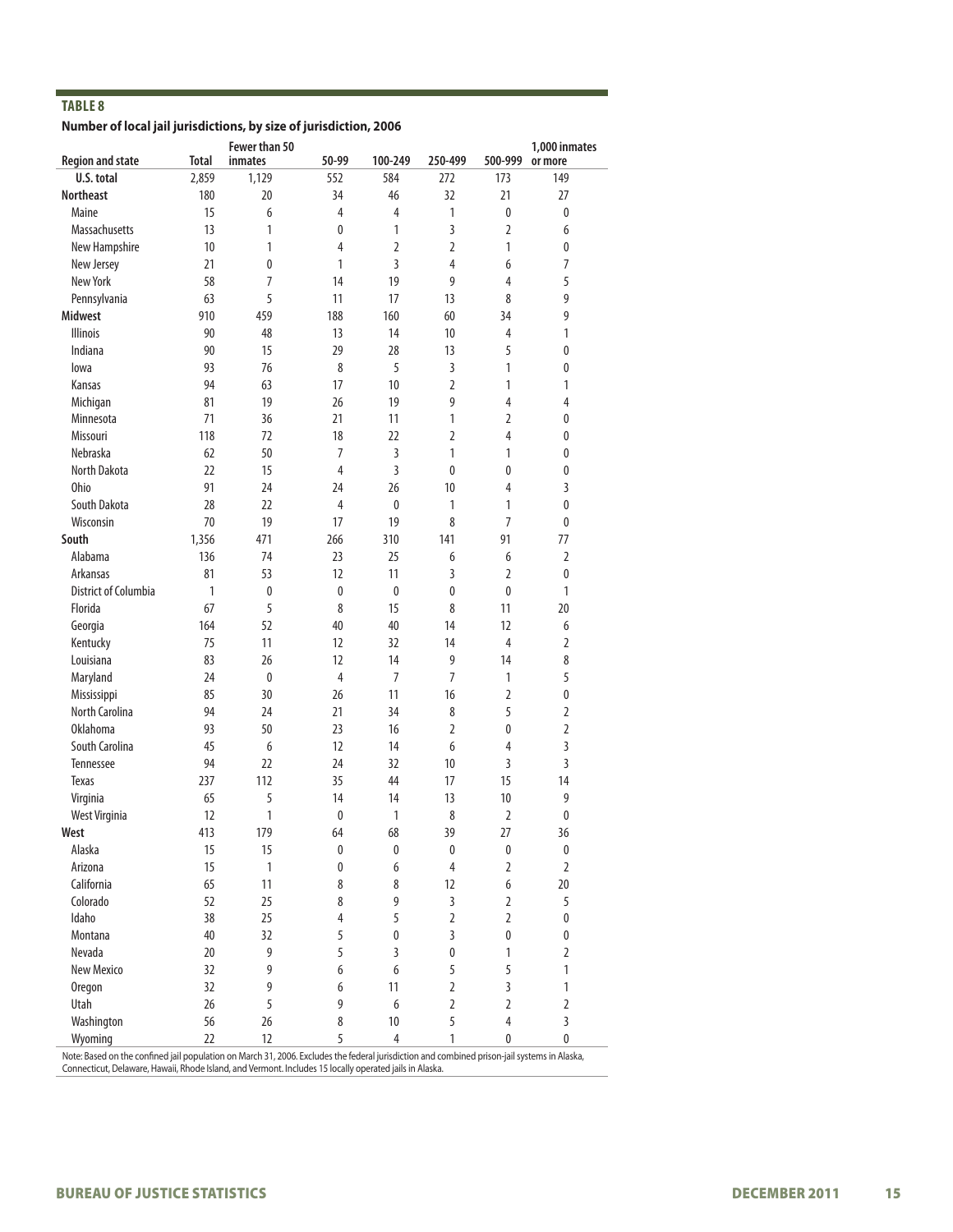#### **Number of local jail jurisdictions, by size of jurisdiction, 2006**

|                             |       | Fewer than 50  |             |                  |                |                | 1,000 inmates  |
|-----------------------------|-------|----------------|-------------|------------------|----------------|----------------|----------------|
| <b>Region and state</b>     | Total | inmates        | 50-99       | 100-249          | 250-499        | 500-999        | or more        |
| U.S. total                  | 2,859 | 1,129          | 552         | 584              | 272            | 173            | 149            |
| <b>Northeast</b>            | 180   | 20             | 34          | 46               | 32             | 21             | 27             |
| Maine                       | 15    | 6              | 4           | 4                | 1              | 0              | 0              |
| <b>Massachusetts</b>        | 13    | 1              | 0           | 1                | 3              | $\overline{2}$ | 6              |
| New Hampshire               | 10    | $\mathbf{1}$   | 4           | $\overline{2}$   | 2              | 1              | 0              |
| New Jersey                  | 21    | 0              | 1           | 3                | 4              | 6              | $\overline{7}$ |
| New York                    | 58    | $\overline{7}$ | 14          | 19               | 9              | 4              | 5              |
| Pennsylvania                | 63    | 5              | 11          | 17               | 13             | 8              | 9              |
| <b>Midwest</b>              | 910   | 459            | 188         | 160              | 60             | 34             | 9              |
| <b>Illinois</b>             | 90    | 48             | 13          | 14               | 10             | 4              | 1              |
| Indiana                     | 90    | 15             | 29          | 28               | 13             | 5              | $\pmb{0}$      |
| lowa                        | 93    | 76             | 8           | 5                | 3              | 1              | 0              |
| Kansas                      | 94    | 63             | 17          | 10               | $\overline{2}$ | 1              | 1              |
| Michigan                    | 81    | 19             | 26          | 19               | 9              | 4              | 4              |
| Minnesota                   | 71    | 36             | 21          | 11               | 1              | 2              | 0              |
| Missouri                    | 118   | 72             | 18          | 22               | $\overline{2}$ | 4              | $\pmb{0}$      |
| Nebraska                    | 62    | 50             | 7           | 3                | 1              | 1              | 0              |
| North Dakota                | 22    | 15             | 4           | 3                | 0              | 0              | 0              |
| Ohio                        | 91    | 24             | 24          | 26               | 10             | 4              | 3              |
| South Dakota                | 28    | 22             | 4           | $\mathbf{0}$     | $\mathbf{1}$   | 1              | 0              |
| Wisconsin                   | 70    | 19             | 17          | 19               | 8              | 7              | 0              |
| South                       | 1,356 | 471            | 266         | 310              | 141            | 91             | 77             |
| Alabama                     | 136   | 74             | 23          | 25               | 6              | 6              | $\overline{2}$ |
| Arkansas                    | 81    | 53             | 12          | 11               | 3              | 2              | 0              |
| <b>District of Columbia</b> | 1     | 0              | 0           | 0                | 0              | 0              | $\mathbf{1}$   |
| Florida                     | 67    | 5              | 8           | 15               | 8              | 11             | 20             |
| Georgia                     | 164   | 52             | 40          | 40               | 14             | 12             | 6              |
| Kentucky                    | 75    | 11             | 12          | 32               | 14             | 4              | 2              |
| Louisiana                   | 83    | 26             | 12          | 14               | 9              | 14             | 8              |
| Maryland                    | 24    | 0              | 4           | 7                | $\overline{7}$ | 1              | 5              |
| Mississippi                 | 85    | 30             | 26          | 11               | 16             | 2              | $\pmb{0}$      |
| <b>North Carolina</b>       | 94    | 24             | 21          | 34               | 8              | 5              | $\overline{2}$ |
| <b>Oklahoma</b>             | 93    | 50             | 23          | 16               | $\overline{2}$ | 0              | $\overline{2}$ |
| South Carolina              | 45    | 6              | 12          | 14               | 6              | 4              | 3              |
| Tennessee                   | 94    | 22             | 24          | 32               | 10             | 3              | 3              |
| <b>Texas</b>                | 237   | 112            | 35          | 44               | 17             | 15             | 14             |
| Virginia                    | 65    | 5              | 14          | 14               | 13             | 10             | 9              |
| West Virginia               | 12    | 1              | 0           | 1                | 8              | $\overline{2}$ | $\mathbf 0$    |
| West                        | 413   | 179            | 64          | 68               | 39             | 27             | 36             |
| Alaska                      | 15    | 15             | 0           | $\mathbf{0}$     | $\pmb{0}$      | 0              | $\pmb{0}$      |
| Arizona                     | 15    | $\mathbf{1}$   | $\mathbf 0$ | 6                | $\overline{4}$ | $\overline{2}$ | $\overline{2}$ |
| California                  | 65    | 11             | 8           | 8                | 12             | 6              | 20             |
| Colorado                    | 52    | 25             | 8           | 9                | $\overline{3}$ | $\overline{2}$ | 5              |
| Idaho                       | 38    | 25             | 4           | 5                | $\overline{2}$ | $\overline{2}$ | $\pmb{0}$      |
| Montana                     | 40    | 32             | 5           | $\pmb{0}$        | 3              | $\pmb{0}$      | $\pmb{0}$      |
| Nevada                      | 20    | 9              | 5           | 3                | $\pmb{0}$      | 1              | $\overline{2}$ |
| New Mexico                  | 32    | 9              | 6           | $\boldsymbol{6}$ | 5              | 5              | 1              |
| Oregon                      | 32    | 9              | 6           | 11               | $\overline{2}$ | $\overline{3}$ | 1              |
| Utah                        | 26    | 5              | 9           | 6                | $\overline{2}$ | $\overline{2}$ | $\overline{2}$ |
| Washington                  | 56    | 26             | 8           | 10               | 5              | $\overline{4}$ | 3              |
| Wyoming                     | 22    | 12             | 5           | $\overline{4}$   | 1              | 0              | 0              |

Note: Based on the confined jail population on March 31, 2006. Excludes the federal jurisdiction and combined prison-jail systems in Alaska, Connecticut, Delaware, Hawaii, Rhode Island, and Vermont. Includes 15 locally operated jails in Alaska.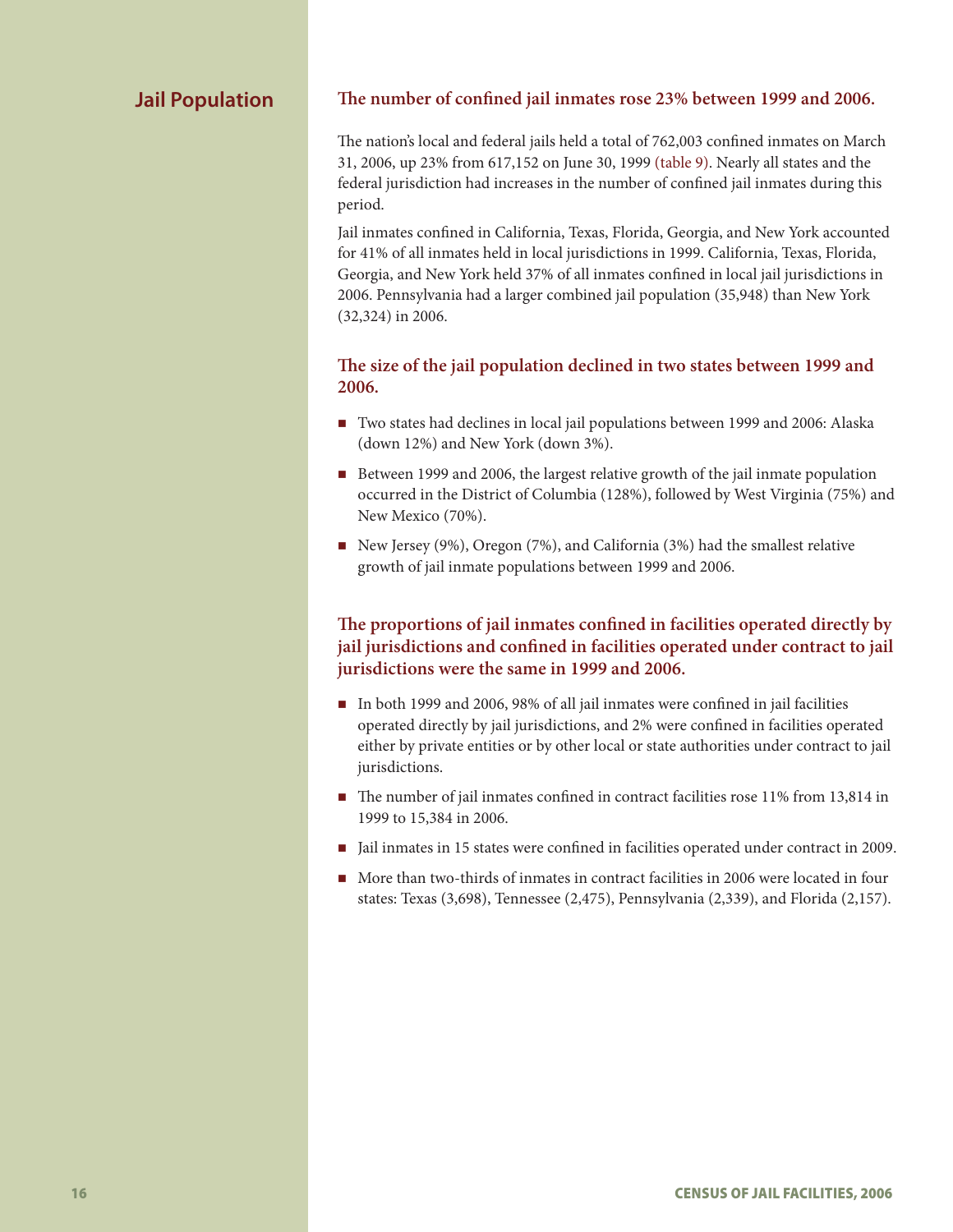# **Jail Population**

#### **The number of confined jail inmates rose 23% between 1999 and 2006.**

The nation's local and federal jails held a total of 762,003 confined inmates on March 31, 2006, up 23% from 617,152 on June 30, 1999 (table 9). Nearly all states and the federal jurisdiction had increases in the number of confined jail inmates during this period.

Jail inmates confined in California, Texas, Florida, Georgia, and New York accounted for 41% of all inmates held in local jurisdictions in 1999. California, Texas, Florida, Georgia, and New York held 37% of all inmates confined in local jail jurisdictions in 2006. Pennsylvania had a larger combined jail population (35,948) than New York (32,324) in 2006.

## **The size of the jail population declined in two states between 1999 and 2006.**

- Two states had declines in local jail populations between 1999 and 2006: Alaska (down 12%) and New York (down 3%).
- Between 1999 and 2006, the largest relative growth of the jail inmate population occurred in the District of Columbia (128%), followed by West Virginia (75%) and New Mexico (70%).
- New Jersey (9%), Oregon (7%), and California (3%) had the smallest relative growth of jail inmate populations between 1999 and 2006.

# **The proportions of jail inmates confined in facilities operated directly by jail jurisdictions and confined in facilities operated under contract to jail jurisdictions were the same in 1999 and 2006.**

- In both 1999 and 2006, 98% of all jail inmates were confined in jail facilities operated directly by jail jurisdictions, and 2% were confined in facilities operated either by private entities or by other local or state authorities under contract to jail jurisdictions.
- The number of jail inmates confined in contract facilities rose 11% from 13,814 in 1999 to 15,384 in 2006.
- In Jail inmates in 15 states were confined in facilities operated under contract in 2009.
- More than two-thirds of inmates in contract facilities in 2006 were located in four states: Texas (3,698), Tennessee (2,475), Pennsylvania (2,339), and Florida (2,157).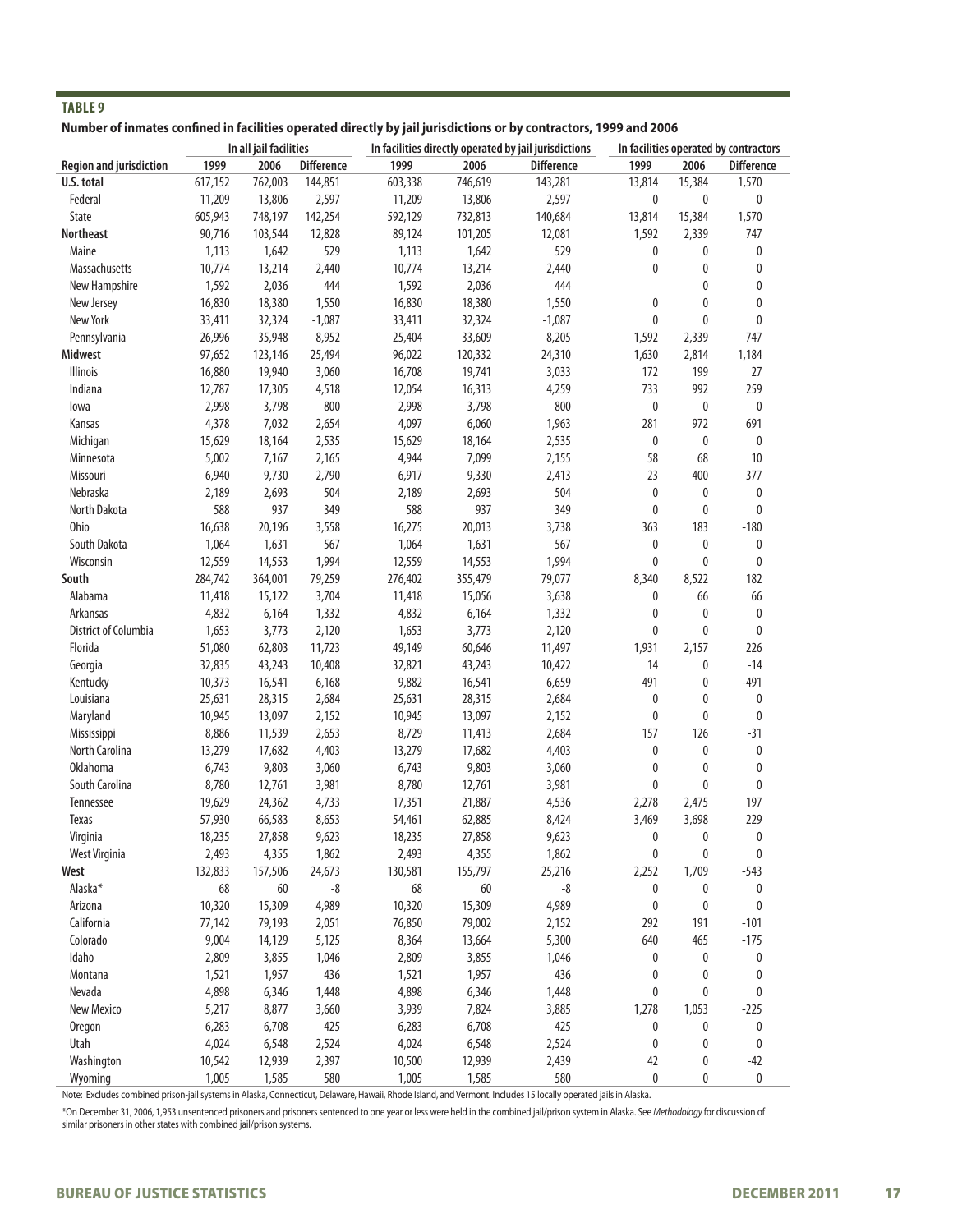| <b>TABLE 9</b>                                                                                                    |         |                        |                   |         |                                                       |                   |             |        |                                       |  |  |
|-------------------------------------------------------------------------------------------------------------------|---------|------------------------|-------------------|---------|-------------------------------------------------------|-------------------|-------------|--------|---------------------------------------|--|--|
| Number of inmates confined in facilities operated directly by jail jurisdictions or by contractors, 1999 and 2006 |         |                        |                   |         |                                                       |                   |             |        |                                       |  |  |
|                                                                                                                   |         | In all jail facilities |                   |         | In facilities directly operated by jail jurisdictions |                   |             |        | In facilities operated by contractors |  |  |
| <b>Region and jurisdiction</b>                                                                                    | 1999    | 2006                   | <b>Difference</b> | 1999    | 2006                                                  | <b>Difference</b> | 1999        | 2006   | <b>Difference</b>                     |  |  |
| U.S. total                                                                                                        | 617,152 | 762,003                | 144,851           | 603,338 | 746,619                                               | 143,281           | 13,814      | 15,384 | 1,570                                 |  |  |
| Federal                                                                                                           | 11,209  | 13,806                 | 2,597             | 11,209  | 13,806                                                | 2,597             | $\mathbf 0$ | 0      | 0                                     |  |  |
| <b>State</b>                                                                                                      | 605,943 | 748,197                | 142,254           | 592,129 | 732,813                                               | 140,684           | 13,814      | 15,384 | 1,570                                 |  |  |
| <b>Northeast</b>                                                                                                  | 90,716  | 103,544                | 12,828            | 89,124  | 101,205                                               | 12,081            | 1,592       | 2,339  | 747                                   |  |  |
| Maine                                                                                                             | 1,113   | 1,642                  | 529               | 1,113   | 1,642                                                 | 529               | 0           | 0      | 0                                     |  |  |
| <b>Massachusetts</b>                                                                                              | 10,774  | 13,214                 | 2,440             | 10,774  | 13,214                                                | 2,440             | 0           | 0      | 0                                     |  |  |
| New Hampshire                                                                                                     | 1,592   | 2,036                  | 444               | 1,592   | 2,036                                                 | 444               |             | 0      | 0                                     |  |  |
| New Jersey                                                                                                        | 16,830  | 18,380                 | 1,550             | 16,830  | 18,380                                                | 1,550             | 0           | 0      | 0                                     |  |  |
| New York                                                                                                          | 33,411  | 32,324                 | $-1,087$          | 33,411  | 32,324                                                | $-1,087$          | 0           | 0      | 0                                     |  |  |
| Pennsylvania                                                                                                      | 26,996  | 35,948                 | 8,952             | 25,404  | 33,609                                                | 8,205             | 1,592       | 2,339  | 747                                   |  |  |
| Midwest                                                                                                           | 97,652  | 123,146                | 25,494            | 96,022  | 120,332                                               | 24,310            | 1,630       | 2,814  | 1,184                                 |  |  |
| Illinois                                                                                                          | 16,880  | 19,940                 | 3,060             | 16,708  | 19,741                                                | 3,033             | 172         | 199    | 27                                    |  |  |
| Indiana                                                                                                           | 12,787  | 17,305                 | 4,518             | 12,054  | 16,313                                                | 4,259             | 733         | 992    | 259                                   |  |  |
| lowa                                                                                                              | 2,998   | 3,798                  | 800               | 2,998   | 3,798                                                 | 800               | 0           | 0      | 0                                     |  |  |
| Kansas                                                                                                            | 4,378   | 7,032                  | 2,654             | 4,097   | 6,060                                                 | 1,963             | 281         | 972    | 691                                   |  |  |
| Michigan                                                                                                          | 15,629  | 18,164                 | 2,535             | 15,629  | 18,164                                                | 2,535             | 0           | 0      | 0                                     |  |  |
| Minnesota                                                                                                         | 5,002   | 7,167                  | 2,165             | 4,944   | 7,099                                                 | 2,155             | 58          | 68     | 10                                    |  |  |
| Missouri                                                                                                          | 6,940   | 9,730                  | 2,790             | 6,917   | 9,330                                                 | 2,413             | 23          | 400    | 377                                   |  |  |
| Nebraska                                                                                                          | 2,189   | 2,693                  | 504               | 2,189   | 2,693                                                 | 504               | 0           | 0      | 0                                     |  |  |
| North Dakota                                                                                                      | 588     | 937                    | 349               | 588     | 937                                                   | 349               | 0           | 0      | 0                                     |  |  |
| <b>Ohio</b>                                                                                                       | 16,638  | 20,196                 | 3,558             | 16,275  | 20,013                                                | 3,738             | 363         | 183    | $-180$                                |  |  |
| South Dakota                                                                                                      | 1,064   | 1,631                  | 567               | 1,064   | 1,631                                                 | 567               | 0           | 0      | 0                                     |  |  |
| Wisconsin                                                                                                         | 12,559  | 14,553                 | 1,994             | 12,559  | 14,553                                                | 1,994             | 0           | 0      | 0                                     |  |  |
| South                                                                                                             | 284,742 | 364,001                | 79,259            | 276,402 | 355,479                                               | 79,077            | 8,340       | 8,522  | 182                                   |  |  |
| Alabama                                                                                                           | 11,418  | 15,122                 | 3,704             | 11,418  | 15,056                                                | 3,638             | 0           | 66     | 66                                    |  |  |
| Arkansas                                                                                                          | 4,832   | 6,164                  | 1,332             | 4,832   | 6,164                                                 | 1,332             | 0           | 0      | 0                                     |  |  |
| District of Columbia                                                                                              | 1,653   | 3,773                  | 2,120             | 1,653   | 3,773                                                 | 2,120             | 0           | 0      | 0                                     |  |  |
| Florida                                                                                                           | 51,080  | 62,803                 | 11,723            | 49,149  | 60,646                                                | 11,497            | 1,931       | 2,157  | 226                                   |  |  |
| Georgia                                                                                                           | 32,835  | 43,243                 | 10,408            | 32,821  | 43,243                                                | 10,422            | 14          | 0      | $-14$                                 |  |  |
| Kentucky                                                                                                          | 10,373  | 16,541                 | 6,168             | 9,882   | 16,541                                                | 6,659             | 491         | 0      | $-491$                                |  |  |
| Louisiana                                                                                                         | 25,631  | 28,315                 | 2,684             | 25,631  | 28,315                                                | 2,684             | 0           | 0      | 0                                     |  |  |
| Maryland                                                                                                          | 10,945  | 13,097                 | 2,152             | 10,945  | 13,097                                                | 2,152             | 0           | 0      | 0                                     |  |  |
| Mississippi                                                                                                       | 8,886   | 11,539                 | 2,653             | 8,729   | 11,413                                                | 2,684             | 157         | 126    | $-31$                                 |  |  |
| North Carolina                                                                                                    | 13,279  | 17,682                 | 4,403             | 13,279  | 17,682                                                | 4,403             | 0           | 0      | 0                                     |  |  |
| <b>Oklahoma</b>                                                                                                   | 6,743   | 9,803                  | 3,060             | 6,743   | 9,803                                                 | 3,060             | 0           | 0      | 0                                     |  |  |
| South Carolina                                                                                                    | 8,780   | 12,761                 | 3,981             | 8,780   | 12,761                                                | 3,981             | 0           | 0      | 0                                     |  |  |
| Tennessee                                                                                                         | 19,629  | 24,362                 | 4,733             | 17,351  | 21,887                                                | 4,536             | 2,278       | 2,475  | 197                                   |  |  |
| Texas                                                                                                             | 57,930  | 66,583                 | 8,653             | 54,461  | 62,885                                                | 8,424             | 3,469       | 3,698  | 229                                   |  |  |
| Virginia                                                                                                          | 18,235  | 27,858                 | 9,623             | 18,235  | 27,858                                                | 9,623             | 0           | 0      | 0                                     |  |  |
| West Virginia                                                                                                     | 2,493   | 4,355                  | 1,862             | 2,493   | 4,355                                                 | 1,862             | 0           | 0      | 0                                     |  |  |
| West                                                                                                              | 132,833 | 157,506                | 24,673            | 130,581 | 155,797                                               | 25,216            | 2,252       | 1,709  | $-543$                                |  |  |
| Alaska*                                                                                                           | 68      | 60                     | -8                | 68      | 60                                                    | -8                | 0           | 0      | 0                                     |  |  |
| Arizona                                                                                                           | 10,320  | 15,309                 | 4,989             | 10,320  | 15,309                                                | 4,989             | 0           | 0      | 0                                     |  |  |
| California                                                                                                        | 77,142  | 79,193                 | 2,051             | 76,850  | 79,002                                                | 2,152             | 292         | 191    | $-101$                                |  |  |
| Colorado                                                                                                          | 9,004   | 14,129                 | 5,125             | 8,364   | 13,664                                                | 5,300             | 640         | 465    | $-175$                                |  |  |
| Idaho                                                                                                             | 2,809   | 3,855                  | 1,046             | 2,809   | 3,855                                                 | 1,046             | 0           | 0      | 0                                     |  |  |
| Montana                                                                                                           | 1,521   | 1,957                  | 436               | 1,521   | 1,957                                                 | 436               | 0           | 0      | 0                                     |  |  |
| Nevada                                                                                                            | 4,898   | 6,346                  | 1,448             | 4,898   | 6,346                                                 | 1,448             | 0           | 0      | 0                                     |  |  |
| New Mexico                                                                                                        | 5,217   | 8,877                  | 3,660             | 3,939   | 7,824                                                 | 3,885             | 1,278       | 1,053  | $-225$                                |  |  |
| <b>Oregon</b>                                                                                                     | 6,283   | 6,708                  | 425               | 6,283   | 6,708                                                 | 425               | 0           | 0      | 0                                     |  |  |
| Utah                                                                                                              | 4,024   | 6,548                  | 2,524             | 4,024   | 6,548                                                 | 2,524             | 0           | 0      | 0                                     |  |  |
| Washington                                                                                                        | 10,542  | 12,939                 | 2,397             | 10,500  | 12,939                                                | 2,439             | 42          | 0      | $-42$                                 |  |  |
| Wyoming                                                                                                           | 1,005   | 1,585                  | 580               | 1,005   | 1,585                                                 | 580               | 0           | 0      | 0                                     |  |  |
|                                                                                                                   |         |                        |                   |         |                                                       |                   |             |        |                                       |  |  |

Note: Excludes combined prison-jail systems in Alaska, Connecticut, Delaware, Hawaii, Rhode Island, and Vermont. Includes 15 locally operated jails in Alaska.

\*On December 31, 2006, 1,953 unsentenced prisoners and prisoners sentenced to one year or less were held in the combined jail/prison system in Alaska. See *Methodology* for discussion of similar prisoners in other states with combined jail/prison systems.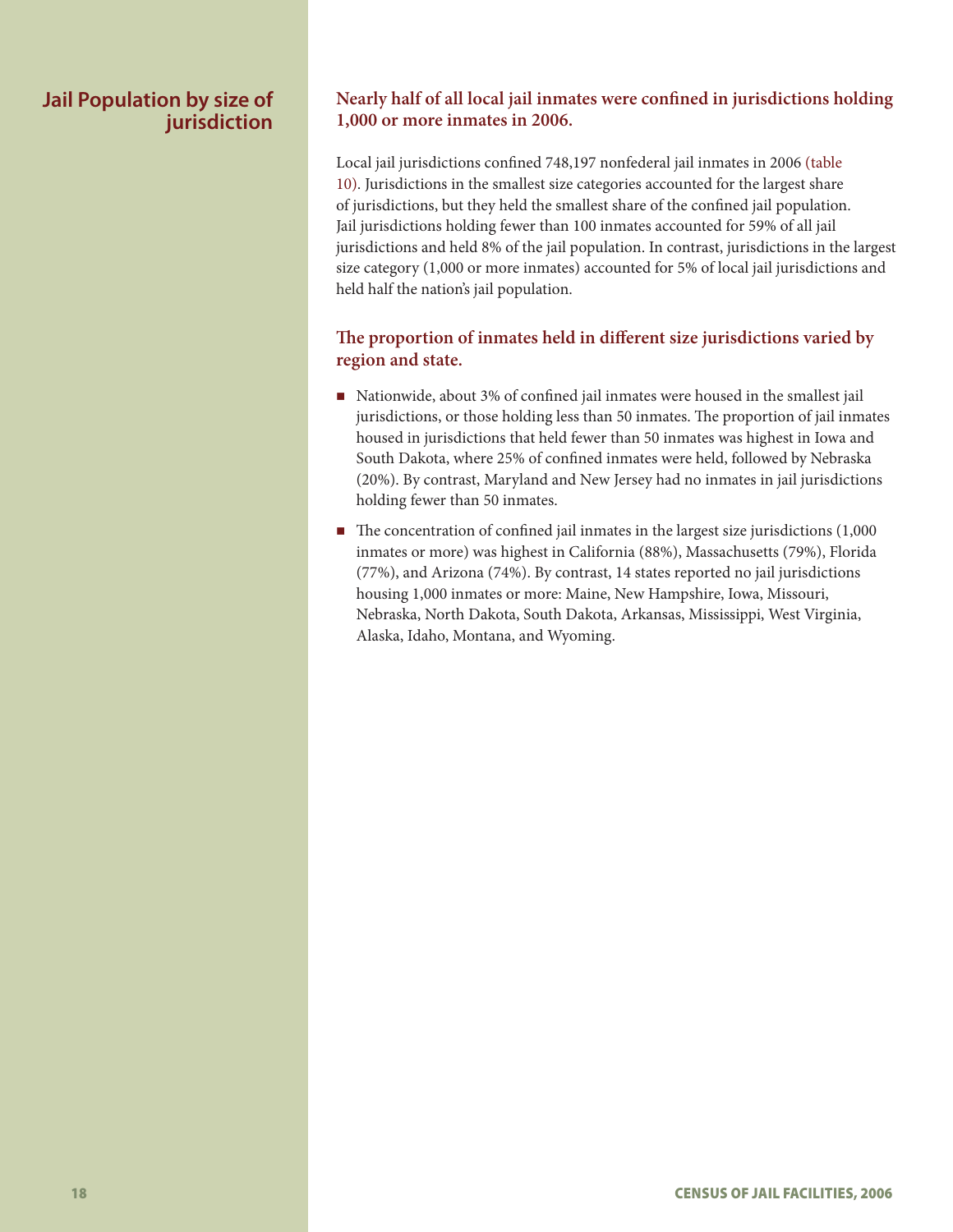# **Jail Population by size of jurisdiction**

# **Nearly half of all local jail inmates were confined in jurisdictions holding 1,000 or more inmates in 2006.**

Local jail jurisdictions confined 748,197 nonfederal jail inmates in 2006 (table 10). Jurisdictions in the smallest size categories accounted for the largest share of jurisdictions, but they held the smallest share of the confined jail population. Jail jurisdictions holding fewer than 100 inmates accounted for 59% of all jail jurisdictions and held 8% of the jail population. In contrast, jurisdictions in the largest size category (1,000 or more inmates) accounted for 5% of local jail jurisdictions and held half the nation's jail population.

# **The proportion of inmates held in different size jurisdictions varied by region and state.**

- Nationwide, about 3% of confined jail inmates were housed in the smallest jail jurisdictions, or those holding less than 50 inmates. The proportion of jail inmates housed in jurisdictions that held fewer than 50 inmates was highest in Iowa and South Dakota, where 25% of confined inmates were held, followed by Nebraska (20%). By contrast, Maryland and New Jersey had no inmates in jail jurisdictions holding fewer than 50 inmates.
- $\blacksquare$  The concentration of confined jail inmates in the largest size jurisdictions (1,000) inmates or more) was highest in California (88%), Massachusetts (79%), Florida (77%), and Arizona (74%). By contrast, 14 states reported no jail jurisdictions housing 1,000 inmates or more: Maine, New Hampshire, Iowa, Missouri, Nebraska, North Dakota, South Dakota, Arkansas, Mississippi, West Virginia, Alaska, Idaho, Montana, and Wyoming.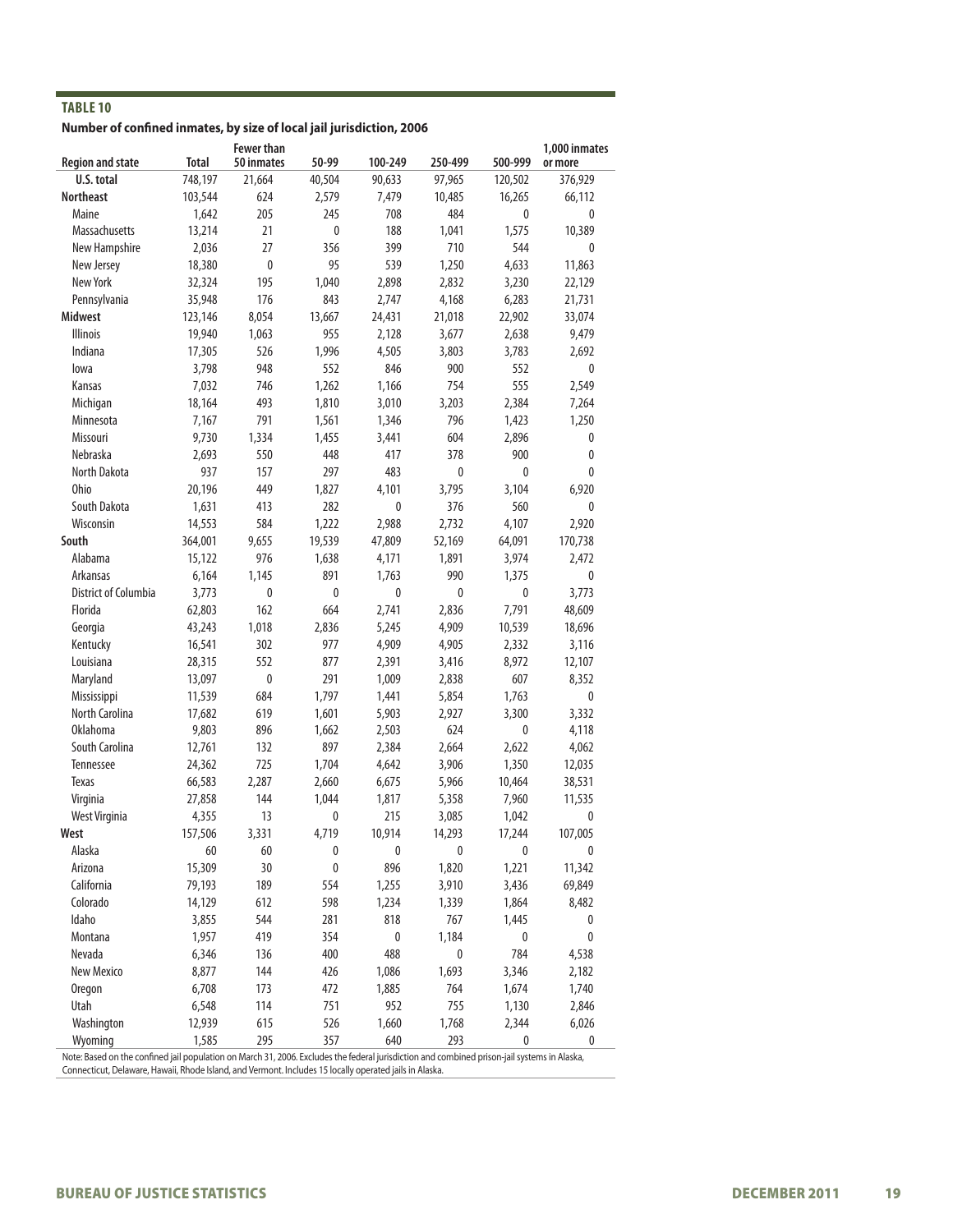**Number of confined inmates, by size of local jail jurisdiction, 2006**

| <b>Region and state</b> | <b>Total</b> | <b>Fewer than</b><br>50 inmates | 50-99       | 100-249         | 250-499 | 500-999      | 1,000 inmates<br>or more |
|-------------------------|--------------|---------------------------------|-------------|-----------------|---------|--------------|--------------------------|
| U.S. total              | 748,197      | 21,664                          | 40,504      | 90,633          | 97,965  | 120,502      | 376,929                  |
| <b>Northeast</b>        | 103,544      | 624                             | 2,579       | 7,479           | 10,485  | 16,265       | 66,112                   |
| Maine                   | 1,642        | 205                             | 245         | 708             | 484     | 0            | 0                        |
| Massachusetts           | 13,214       | 21                              | 0           | 188             | 1,041   | 1,575        | 10,389                   |
| New Hampshire           | 2,036        | 27                              | 356         | 399             | 710     | 544          | 0                        |
| New Jersey              | 18,380       | 0                               | 95          | 539             | 1,250   | 4,633        | 11,863                   |
| New York                | 32,324       | 195                             | 1,040       | 2,898           | 2,832   | 3,230        | 22,129                   |
| Pennsylvania            | 35,948       | 176                             | 843         | 2,747           | 4,168   | 6,283        | 21,731                   |
| <b>Midwest</b>          | 123,146      | 8,054                           | 13,667      | 24,431          | 21,018  | 22,902       | 33,074                   |
| <b>Illinois</b>         | 19,940       | 1,063                           | 955         | 2,128           | 3,677   | 2,638        | 9,479                    |
| Indiana                 | 17,305       | 526                             | 1,996       | 4,505           | 3,803   | 3,783        | 2,692                    |
| lowa                    | 3,798        | 948                             | 552         | 846             | 900     | 552          | 0                        |
| Kansas                  | 7,032        | 746                             | 1,262       | 1,166           | 754     | 555          | 2,549                    |
| Michigan                | 18,164       | 493                             | 1,810       | 3,010           | 3,203   | 2,384        | 7,264                    |
| Minnesota               | 7,167        | 791                             | 1,561       | 1,346           | 796     | 1,423        | 1,250                    |
| Missouri                | 9,730        | 1,334                           | 1,455       | 3,441           | 604     | 2,896        | 0                        |
| Nebraska                | 2,693        | 550                             | 448         | 417             | 378     | 900          | 0                        |
| North Dakota            | 937          | 157                             | 297         | 483             | 0       | 0            | 0                        |
| Ohio                    | 20,196       | 449                             | 1,827       | 4,101           | 3,795   | 3,104        | 6,920                    |
| South Dakota            |              |                                 | 282         | 0               | 376     | 560          | 0                        |
|                         | 1,631        | 413                             |             |                 |         |              |                          |
| Wisconsin<br>South      | 14,553       | 584                             | 1,222       | 2,988<br>47,809 | 2,732   | 4,107        | 2,920                    |
|                         | 364,001      | 9,655                           | 19,539      |                 | 52,169  | 64,091       | 170,738                  |
| Alabama                 | 15,122       | 976                             | 1,638       | 4,171           | 1,891   | 3,974        | 2,472                    |
| Arkansas                | 6,164        | 1,145                           | 891         | 1,763           | 990     | 1,375        | 0                        |
| District of Columbia    | 3,773        | 0                               | 0           | $\pmb{0}$       | 0       | $\mathbf{0}$ | 3,773                    |
| Florida                 | 62,803       | 162                             | 664         | 2,741           | 2,836   | 7,791        | 48,609                   |
| Georgia                 | 43,243       | 1,018                           | 2,836       | 5,245           | 4,909   | 10,539       | 18,696                   |
| Kentucky                | 16,541       | 302                             | 977         | 4,909           | 4,905   | 2,332        | 3,116                    |
| Louisiana               | 28,315       | 552                             | 877         | 2,391           | 3,416   | 8,972        | 12,107                   |
| Maryland                | 13,097       | 0                               | 291         | 1,009           | 2,838   | 607          | 8,352                    |
| Mississippi             | 11,539       | 684                             | 1,797       | 1,441           | 5,854   | 1,763        | 0                        |
| North Carolina          | 17,682       | 619                             | 1,601       | 5,903           | 2,927   | 3,300        | 3,332                    |
| <b>Oklahoma</b>         | 9,803        | 896                             | 1,662       | 2,503           | 624     | 0            | 4,118                    |
| South Carolina          | 12,761       | 132                             | 897         | 2,384           | 2,664   | 2,622        | 4,062                    |
| Tennessee               | 24,362       | 725                             | 1,704       | 4,642           | 3,906   | 1,350        | 12,035                   |
| <b>Texas</b>            | 66,583       | 2,287                           | 2,660       | 6,675           | 5,966   | 10,464       | 38,531                   |
| Virginia                | 27,858       | 144                             | 1,044       | 1,817           | 5,358   | 7,960        | 11,535                   |
| West Virginia           | 4,355        | 13                              | $\mathbf 0$ | 215             | 3,085   | 1,042        | 0                        |
| West                    | 157,506      | 3,331                           | 4,719       | 10,914          | 14,293  | 17,244       | 107,005                  |
| Alaska                  | 60           | 60                              | 0           | 0               | 0       | $\pmb{0}$    | 0                        |
| Arizona                 | 15,309       | 30                              | $\pmb{0}$   | 896             | 1,820   | 1,221        | 11,342                   |
| California              | 79,193       | 189                             | 554         | 1,255           | 3,910   | 3,436        | 69,849                   |
| Colorado                | 14,129       | 612                             | 598         | 1,234           | 1,339   | 1,864        | 8,482                    |
| Idaho                   | 3,855        | 544                             | 281         | 818             | 767     | 1,445        | 0                        |
| Montana                 | 1,957        | 419                             | 354         | 0               | 1,184   | $\pmb{0}$    | 0                        |
| Nevada                  | 6,346        | 136                             | 400         | 488             | 0       | 784          | 4,538                    |
| New Mexico              | 8,877        | 144                             | 426         | 1,086           | 1,693   | 3,346        | 2,182                    |
| Oregon                  | 6,708        | 173                             | 472         | 1,885           | 764     | 1,674        | 1,740                    |
| Utah                    | 6,548        | 114                             | 751         | 952             | 755     | 1,130        | 2,846                    |
| Washington              | 12,939       | 615                             | 526         | 1,660           | 1,768   | 2,344        | 6,026                    |
| Wyoming                 | 1,585        | 295                             | 357         | 640             | 293     | 0            | 0                        |

Note: Based on the confined jail population on March 31, 2006. Excludes the federal jurisdiction and combined prison-jail systems in Alaska, Connecticut, Delaware, Hawaii, Rhode Island, and Vermont. Includes 15 locally operated jails in Alaska.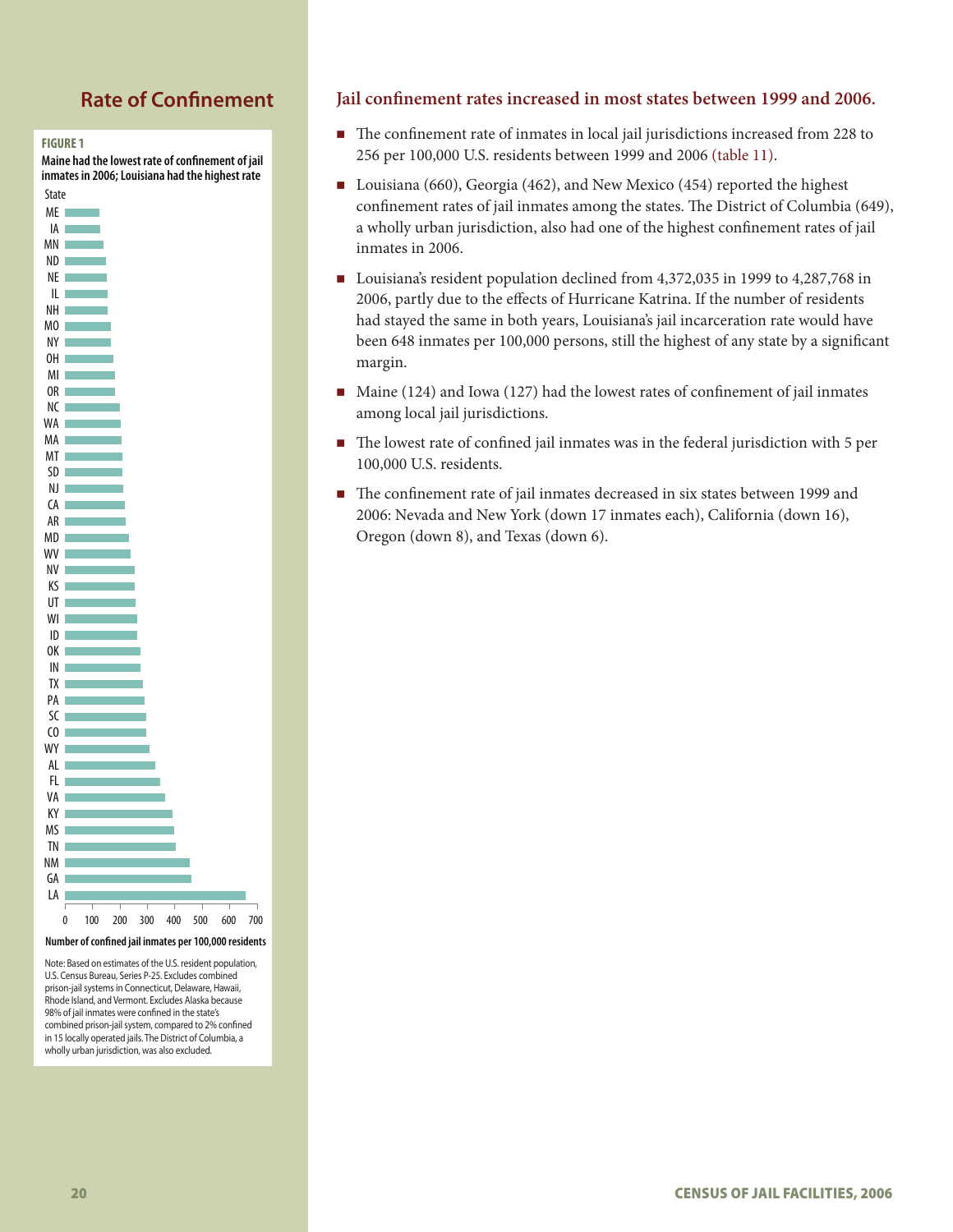# **Rate of Confinement**



**Maine had the lowest rate of confinement of jail inmates in 2006; Louisiana had the highest rate** 



**Number of conned jail inmates per 100,000 residents**

Note: Based on estimates of the U.S. resident population, U.S. Census Bureau, Series P-25. Excludes combined prison-jail systems in Connecticut, Delaware, Hawaii, Rhode Island, and Vermont. Excludes Alaska because 98% of jail inmates were confined in the state's combined prison-jail system, compared to 2% confined in 15 locally operated jails. The District of Columbia, a wholly urban jurisdiction, was also excluded.

#### **Jail confinement rates increased in most states between 1999 and 2006.**

- The confinement rate of inmates in local jail jurisdictions increased from 228 to 256 per 100,000 U.S. residents between 1999 and 2006 (table 11).
- Louisiana (660), Georgia (462), and New Mexico (454) reported the highest confinement rates of jail inmates among the states. The District of Columbia (649), a wholly urban jurisdiction, also had one of the highest confinement rates of jail inmates in 2006.
- Louisiana's resident population declined from 4,372,035 in 1999 to 4,287,768 in 2006, partly due to the effects of Hurricane Katrina. If the number of residents had stayed the same in both years, Louisiana's jail incarceration rate would have been 648 inmates per 100,000 persons, still the highest of any state by a significant margin.
- $\blacksquare$  Maine (124) and Iowa (127) had the lowest rates of confinement of jail inmates among local jail jurisdictions.
- The lowest rate of confined jail inmates was in the federal jurisdiction with 5 per 100,000 U.S. residents.
- The confinement rate of jail inmates decreased in six states between 1999 and 2006: Nevada and New York (down 17 inmates each), California (down 16), Oregon (down 8), and Texas (down 6).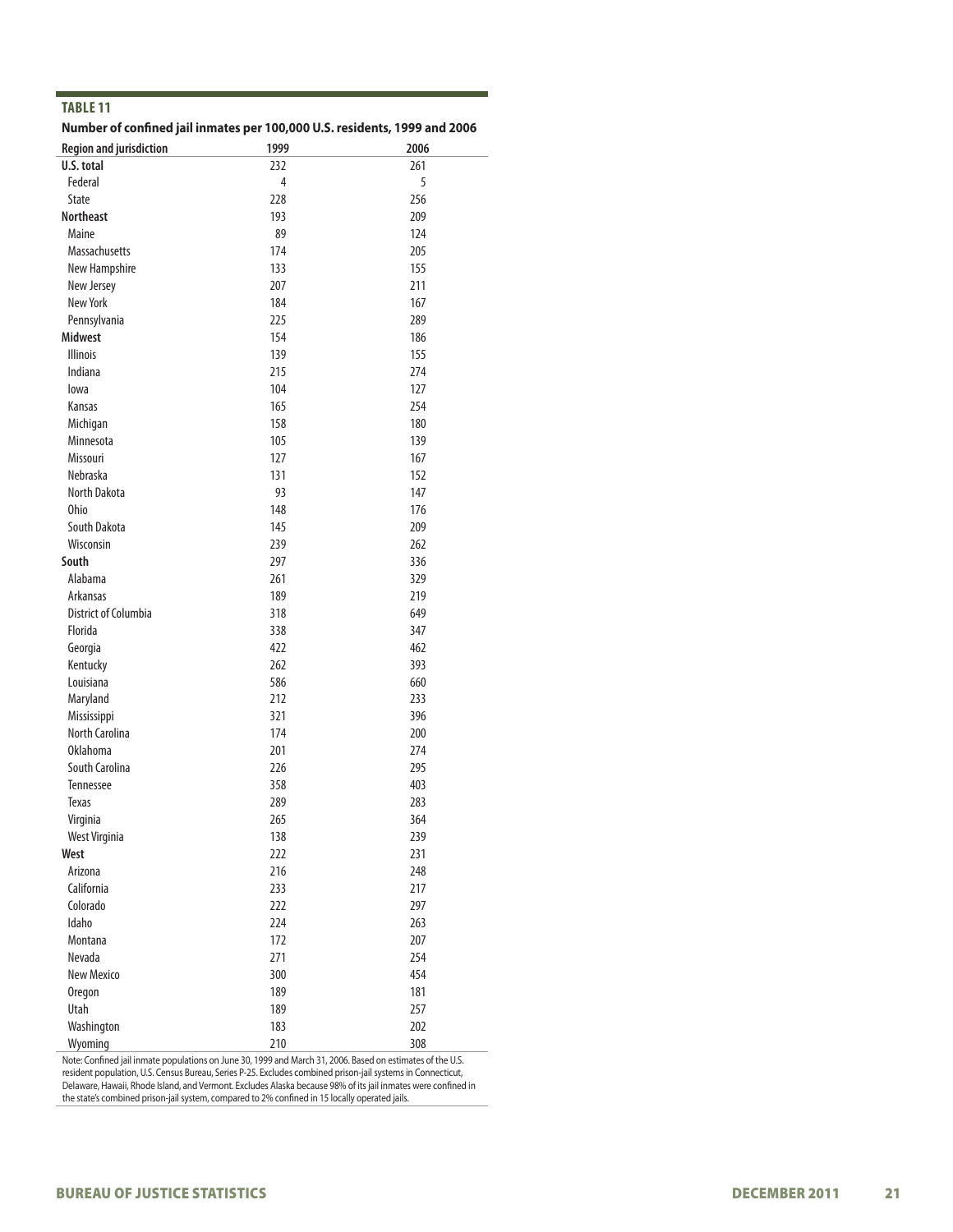#### **Number of confined jail inmates per 100,000 U.S. residents, 1999 and 2006**

| <b>Region and jurisdiction</b> | 1999 | 2006 |
|--------------------------------|------|------|
| U.S. total                     | 232  | 261  |
| Federal                        | 4    | 5    |
| <b>State</b>                   | 228  | 256  |
| <b>Northeast</b>               | 193  | 209  |
| Maine                          | 89   | 124  |
| <b>Massachusetts</b>           | 174  | 205  |
| New Hampshire                  | 133  | 155  |
| New Jersey                     | 207  | 211  |
| New York                       | 184  | 167  |
| Pennsylvania                   | 225  | 289  |
| <b>Midwest</b>                 | 154  | 186  |
| <b>Illinois</b>                | 139  | 155  |
| Indiana                        | 215  | 274  |
| lowa                           | 104  | 127  |
| Kansas                         | 165  | 254  |
| Michigan                       | 158  | 180  |
| Minnesota                      | 105  | 139  |
| Missouri                       | 127  | 167  |
| Nebraska                       | 131  | 152  |
| North Dakota                   | 93   | 147  |
| Ohio                           | 148  | 176  |
| South Dakota                   | 145  | 209  |
| Wisconsin                      | 239  | 262  |
| South                          | 297  | 336  |
| Alabama                        | 261  | 329  |
| Arkansas                       | 189  | 219  |
| <b>District of Columbia</b>    | 318  | 649  |
| Florida                        | 338  | 347  |
| Georgia                        | 422  | 462  |
| Kentucky                       | 262  | 393  |
| Louisiana                      | 586  | 660  |
| Maryland                       | 212  | 233  |
| Mississippi                    | 321  | 396  |
| <b>North Carolina</b>          | 174  | 200  |
| <b>Oklahoma</b>                | 201  | 274  |
| South Carolina                 | 226  | 295  |
| Tennessee                      | 358  | 403  |
| <b>Texas</b>                   | 289  | 283  |
| Virginia                       | 265  | 364  |
| West Virginia                  | 138  | 239  |
| West                           | 222  | 231  |
| Arizona                        | 216  | 248  |
| California                     | 233  | 217  |
| Colorado                       | 222  | 297  |
| Idaho                          | 224  | 263  |
| Montana                        | 172  | 207  |
| Nevada                         | 271  | 254  |
| New Mexico                     | 300  | 454  |
| Oregon                         | 189  | 181  |
| Utah                           | 189  | 257  |
| Washington                     | 183  | 202  |
| Wyoming                        | 210  | 308  |

Note: Confined jail inmate populations on June 30, 1999 and March 31, 2006. Based on estimates of the U.S. resident population, U.S. Census Bureau, Series P-25. Excludes combined prison-jail systems in Connecticut, Delaware, Hawaii, Rhode Island, and Vermont. Excludes Alaska because 98% of its jail inmates were confined in the state's combined prison-jail system, compared to 2% confined in 15 locally operated jails.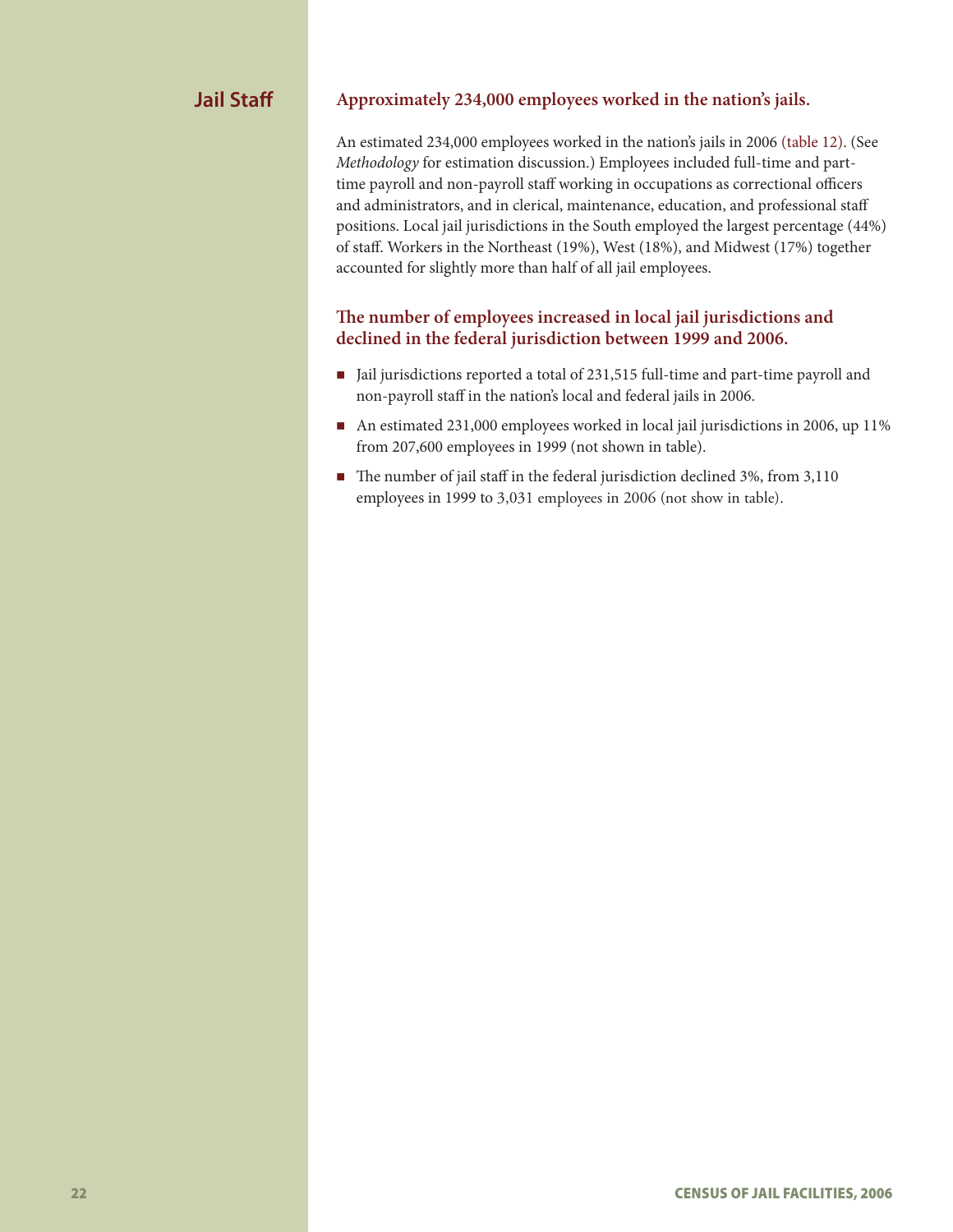# **Jail Staff**

#### **Approximately 234,000 employees worked in the nation's jails.**

An estimated 234,000 employees worked in the nation's jails in 2006 (table 12). (See *Methodology* for estimation discussion.) Employees included full-time and parttime payroll and non-payroll staff working in occupations as correctional officers and administrators, and in clerical, maintenance, education, and professional staff positions. Local jail jurisdictions in the South employed the largest percentage (44%) of staff. Workers in the Northeast (19%), West (18%), and Midwest (17%) together accounted for slightly more than half of all jail employees.

# **The number of employees increased in local jail jurisdictions and declined in the federal jurisdiction between 1999 and 2006.**

- Jail jurisdictions reported a total of 231,515 full-time and part-time payroll and non-payroll staff in the nation's local and federal jails in 2006.
- An estimated 231,000 employees worked in local jail jurisdictions in 2006, up 11% from 207,600 employees in 1999 (not shown in table).
- The number of jail staff in the federal jurisdiction declined 3%, from 3,110 employees in 1999 to 3,031 employees in 2006 (not show in table).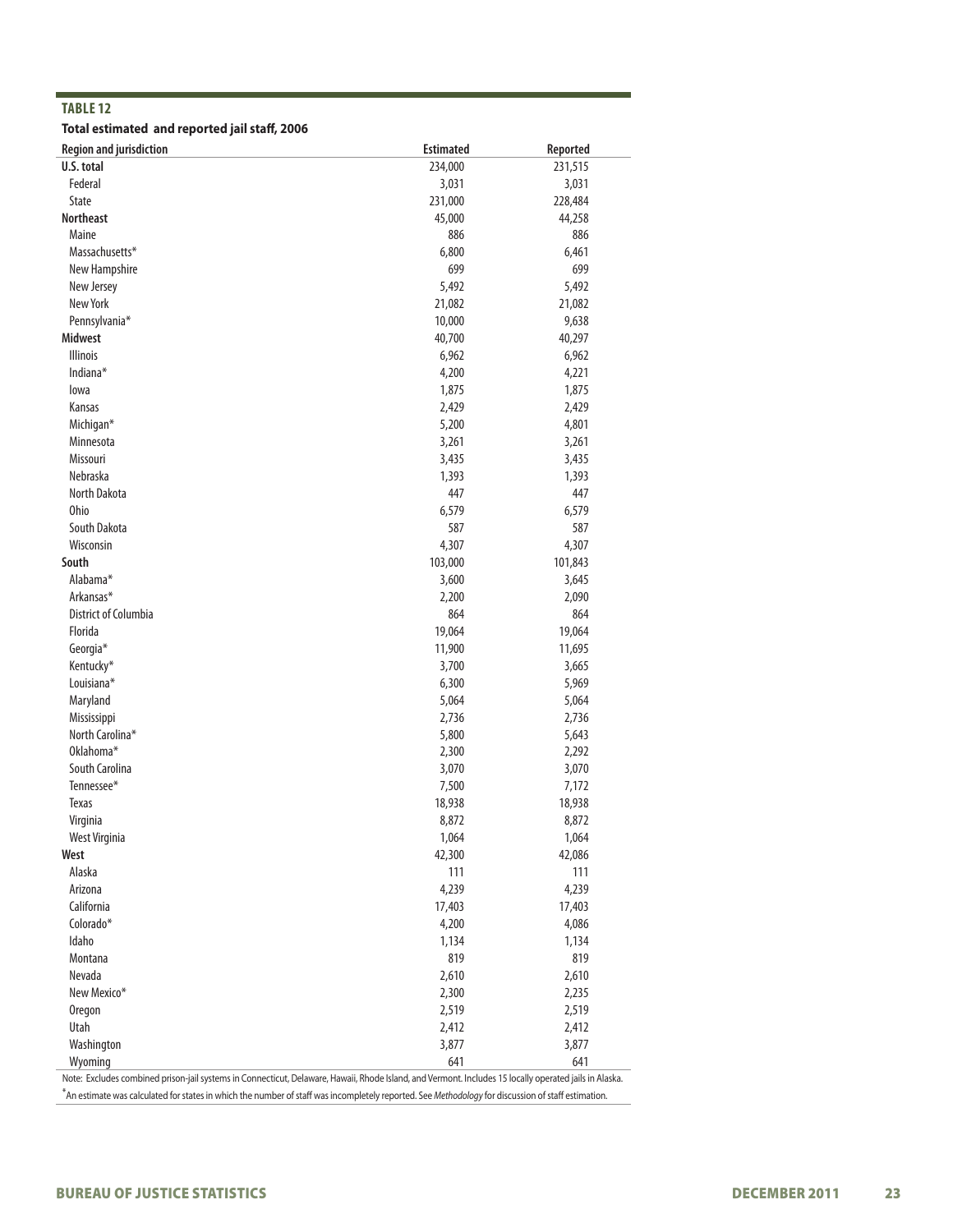**Total estimated and reported jail staff, 2006**

| U.S. total<br>231,515<br>234,000<br>Federal<br>3,031<br>3,031<br>State<br>231,000<br>228,484<br><b>Northeast</b><br>45,000<br>44,258<br>Maine<br>886<br>886<br>Massachusetts*<br>6,800<br>6,461<br>New Hampshire<br>699<br>699<br>5,492<br>5,492<br>New Jersey<br>New York<br>21,082<br>21,082<br>Pennsylvania*<br>10,000<br>9,638<br><b>Midwest</b><br>40,700<br>40,297<br><b>Illinois</b><br>6,962<br>6,962<br>Indiana*<br>4,200<br>4,221<br>1,875<br>1,875<br>lowa<br>2,429<br>2,429<br>Kansas<br>5,200<br>Michigan*<br>4,801<br>3,261<br>3,261<br>Minnesota<br>Missouri<br>3,435<br>3,435<br>1,393<br>1,393<br>Nebraska<br>North Dakota<br>447<br>447<br><b>Ohio</b><br>6,579<br>6,579<br>587<br>South Dakota<br>587<br>Wisconsin<br>4,307<br>4,307<br>South<br>103,000<br>101,843<br>Alabama*<br>3,600<br>3,645<br>Arkansas*<br>2,200<br>2,090<br>District of Columbia<br>864<br>864<br>Florida<br>19,064<br>19,064<br>Georgia*<br>11,900<br>11,695<br>Kentucky*<br>3,700<br>3,665<br>Louisiana*<br>6,300<br>5,969<br>Maryland<br>5,064<br>5,064<br>2,736<br>2,736<br>Mississippi<br>North Carolina*<br>5,800<br>5,643<br>Oklahoma*<br>2,300<br>2,292<br>3,070<br>3,070<br>South Carolina<br>Tennessee*<br>7,500<br>7,172<br>18,938<br>18,938<br>Texas<br>8,872<br>8,872<br>Virginia<br>West Virginia<br>1,064<br>1,064<br>42,086<br>West<br>42,300<br>Alaska<br>111<br>111<br>4,239<br>4,239<br>Arizona<br>California<br>17,403<br>17,403<br>Colorado*<br>4,200<br>4,086<br>Idaho<br>1,134<br>1,134<br>819<br>Montana<br>819<br>Nevada<br>2,610<br>2,610<br>New Mexico*<br>2,300<br>2,235<br>2,519<br>2,519<br><b>Oregon</b><br>Utah<br>2,412<br>2,412<br>Washington<br>3,877<br>3,877 | <b>Region and jurisdiction</b> | <b>Estimated</b> | Reported |
|----------------------------------------------------------------------------------------------------------------------------------------------------------------------------------------------------------------------------------------------------------------------------------------------------------------------------------------------------------------------------------------------------------------------------------------------------------------------------------------------------------------------------------------------------------------------------------------------------------------------------------------------------------------------------------------------------------------------------------------------------------------------------------------------------------------------------------------------------------------------------------------------------------------------------------------------------------------------------------------------------------------------------------------------------------------------------------------------------------------------------------------------------------------------------------------------------------------------------------------------------------------------------------------------------------------------------------------------------------------------------------------------------------------------------------------------------------------------------------------------------------------------------------------------------------------------------------------------------------------------------------------------------------------------------------------------|--------------------------------|------------------|----------|
|                                                                                                                                                                                                                                                                                                                                                                                                                                                                                                                                                                                                                                                                                                                                                                                                                                                                                                                                                                                                                                                                                                                                                                                                                                                                                                                                                                                                                                                                                                                                                                                                                                                                                              |                                |                  |          |
|                                                                                                                                                                                                                                                                                                                                                                                                                                                                                                                                                                                                                                                                                                                                                                                                                                                                                                                                                                                                                                                                                                                                                                                                                                                                                                                                                                                                                                                                                                                                                                                                                                                                                              |                                |                  |          |
|                                                                                                                                                                                                                                                                                                                                                                                                                                                                                                                                                                                                                                                                                                                                                                                                                                                                                                                                                                                                                                                                                                                                                                                                                                                                                                                                                                                                                                                                                                                                                                                                                                                                                              |                                |                  |          |
|                                                                                                                                                                                                                                                                                                                                                                                                                                                                                                                                                                                                                                                                                                                                                                                                                                                                                                                                                                                                                                                                                                                                                                                                                                                                                                                                                                                                                                                                                                                                                                                                                                                                                              |                                |                  |          |
|                                                                                                                                                                                                                                                                                                                                                                                                                                                                                                                                                                                                                                                                                                                                                                                                                                                                                                                                                                                                                                                                                                                                                                                                                                                                                                                                                                                                                                                                                                                                                                                                                                                                                              |                                |                  |          |
|                                                                                                                                                                                                                                                                                                                                                                                                                                                                                                                                                                                                                                                                                                                                                                                                                                                                                                                                                                                                                                                                                                                                                                                                                                                                                                                                                                                                                                                                                                                                                                                                                                                                                              |                                |                  |          |
|                                                                                                                                                                                                                                                                                                                                                                                                                                                                                                                                                                                                                                                                                                                                                                                                                                                                                                                                                                                                                                                                                                                                                                                                                                                                                                                                                                                                                                                                                                                                                                                                                                                                                              |                                |                  |          |
|                                                                                                                                                                                                                                                                                                                                                                                                                                                                                                                                                                                                                                                                                                                                                                                                                                                                                                                                                                                                                                                                                                                                                                                                                                                                                                                                                                                                                                                                                                                                                                                                                                                                                              |                                |                  |          |
|                                                                                                                                                                                                                                                                                                                                                                                                                                                                                                                                                                                                                                                                                                                                                                                                                                                                                                                                                                                                                                                                                                                                                                                                                                                                                                                                                                                                                                                                                                                                                                                                                                                                                              |                                |                  |          |
|                                                                                                                                                                                                                                                                                                                                                                                                                                                                                                                                                                                                                                                                                                                                                                                                                                                                                                                                                                                                                                                                                                                                                                                                                                                                                                                                                                                                                                                                                                                                                                                                                                                                                              |                                |                  |          |
|                                                                                                                                                                                                                                                                                                                                                                                                                                                                                                                                                                                                                                                                                                                                                                                                                                                                                                                                                                                                                                                                                                                                                                                                                                                                                                                                                                                                                                                                                                                                                                                                                                                                                              |                                |                  |          |
|                                                                                                                                                                                                                                                                                                                                                                                                                                                                                                                                                                                                                                                                                                                                                                                                                                                                                                                                                                                                                                                                                                                                                                                                                                                                                                                                                                                                                                                                                                                                                                                                                                                                                              |                                |                  |          |
|                                                                                                                                                                                                                                                                                                                                                                                                                                                                                                                                                                                                                                                                                                                                                                                                                                                                                                                                                                                                                                                                                                                                                                                                                                                                                                                                                                                                                                                                                                                                                                                                                                                                                              |                                |                  |          |
|                                                                                                                                                                                                                                                                                                                                                                                                                                                                                                                                                                                                                                                                                                                                                                                                                                                                                                                                                                                                                                                                                                                                                                                                                                                                                                                                                                                                                                                                                                                                                                                                                                                                                              |                                |                  |          |
|                                                                                                                                                                                                                                                                                                                                                                                                                                                                                                                                                                                                                                                                                                                                                                                                                                                                                                                                                                                                                                                                                                                                                                                                                                                                                                                                                                                                                                                                                                                                                                                                                                                                                              |                                |                  |          |
|                                                                                                                                                                                                                                                                                                                                                                                                                                                                                                                                                                                                                                                                                                                                                                                                                                                                                                                                                                                                                                                                                                                                                                                                                                                                                                                                                                                                                                                                                                                                                                                                                                                                                              |                                |                  |          |
|                                                                                                                                                                                                                                                                                                                                                                                                                                                                                                                                                                                                                                                                                                                                                                                                                                                                                                                                                                                                                                                                                                                                                                                                                                                                                                                                                                                                                                                                                                                                                                                                                                                                                              |                                |                  |          |
|                                                                                                                                                                                                                                                                                                                                                                                                                                                                                                                                                                                                                                                                                                                                                                                                                                                                                                                                                                                                                                                                                                                                                                                                                                                                                                                                                                                                                                                                                                                                                                                                                                                                                              |                                |                  |          |
|                                                                                                                                                                                                                                                                                                                                                                                                                                                                                                                                                                                                                                                                                                                                                                                                                                                                                                                                                                                                                                                                                                                                                                                                                                                                                                                                                                                                                                                                                                                                                                                                                                                                                              |                                |                  |          |
|                                                                                                                                                                                                                                                                                                                                                                                                                                                                                                                                                                                                                                                                                                                                                                                                                                                                                                                                                                                                                                                                                                                                                                                                                                                                                                                                                                                                                                                                                                                                                                                                                                                                                              |                                |                  |          |
|                                                                                                                                                                                                                                                                                                                                                                                                                                                                                                                                                                                                                                                                                                                                                                                                                                                                                                                                                                                                                                                                                                                                                                                                                                                                                                                                                                                                                                                                                                                                                                                                                                                                                              |                                |                  |          |
|                                                                                                                                                                                                                                                                                                                                                                                                                                                                                                                                                                                                                                                                                                                                                                                                                                                                                                                                                                                                                                                                                                                                                                                                                                                                                                                                                                                                                                                                                                                                                                                                                                                                                              |                                |                  |          |
|                                                                                                                                                                                                                                                                                                                                                                                                                                                                                                                                                                                                                                                                                                                                                                                                                                                                                                                                                                                                                                                                                                                                                                                                                                                                                                                                                                                                                                                                                                                                                                                                                                                                                              |                                |                  |          |
|                                                                                                                                                                                                                                                                                                                                                                                                                                                                                                                                                                                                                                                                                                                                                                                                                                                                                                                                                                                                                                                                                                                                                                                                                                                                                                                                                                                                                                                                                                                                                                                                                                                                                              |                                |                  |          |
|                                                                                                                                                                                                                                                                                                                                                                                                                                                                                                                                                                                                                                                                                                                                                                                                                                                                                                                                                                                                                                                                                                                                                                                                                                                                                                                                                                                                                                                                                                                                                                                                                                                                                              |                                |                  |          |
|                                                                                                                                                                                                                                                                                                                                                                                                                                                                                                                                                                                                                                                                                                                                                                                                                                                                                                                                                                                                                                                                                                                                                                                                                                                                                                                                                                                                                                                                                                                                                                                                                                                                                              |                                |                  |          |
|                                                                                                                                                                                                                                                                                                                                                                                                                                                                                                                                                                                                                                                                                                                                                                                                                                                                                                                                                                                                                                                                                                                                                                                                                                                                                                                                                                                                                                                                                                                                                                                                                                                                                              |                                |                  |          |
|                                                                                                                                                                                                                                                                                                                                                                                                                                                                                                                                                                                                                                                                                                                                                                                                                                                                                                                                                                                                                                                                                                                                                                                                                                                                                                                                                                                                                                                                                                                                                                                                                                                                                              |                                |                  |          |
|                                                                                                                                                                                                                                                                                                                                                                                                                                                                                                                                                                                                                                                                                                                                                                                                                                                                                                                                                                                                                                                                                                                                                                                                                                                                                                                                                                                                                                                                                                                                                                                                                                                                                              |                                |                  |          |
|                                                                                                                                                                                                                                                                                                                                                                                                                                                                                                                                                                                                                                                                                                                                                                                                                                                                                                                                                                                                                                                                                                                                                                                                                                                                                                                                                                                                                                                                                                                                                                                                                                                                                              |                                |                  |          |
|                                                                                                                                                                                                                                                                                                                                                                                                                                                                                                                                                                                                                                                                                                                                                                                                                                                                                                                                                                                                                                                                                                                                                                                                                                                                                                                                                                                                                                                                                                                                                                                                                                                                                              |                                |                  |          |
|                                                                                                                                                                                                                                                                                                                                                                                                                                                                                                                                                                                                                                                                                                                                                                                                                                                                                                                                                                                                                                                                                                                                                                                                                                                                                                                                                                                                                                                                                                                                                                                                                                                                                              |                                |                  |          |
|                                                                                                                                                                                                                                                                                                                                                                                                                                                                                                                                                                                                                                                                                                                                                                                                                                                                                                                                                                                                                                                                                                                                                                                                                                                                                                                                                                                                                                                                                                                                                                                                                                                                                              |                                |                  |          |
|                                                                                                                                                                                                                                                                                                                                                                                                                                                                                                                                                                                                                                                                                                                                                                                                                                                                                                                                                                                                                                                                                                                                                                                                                                                                                                                                                                                                                                                                                                                                                                                                                                                                                              |                                |                  |          |
|                                                                                                                                                                                                                                                                                                                                                                                                                                                                                                                                                                                                                                                                                                                                                                                                                                                                                                                                                                                                                                                                                                                                                                                                                                                                                                                                                                                                                                                                                                                                                                                                                                                                                              |                                |                  |          |
|                                                                                                                                                                                                                                                                                                                                                                                                                                                                                                                                                                                                                                                                                                                                                                                                                                                                                                                                                                                                                                                                                                                                                                                                                                                                                                                                                                                                                                                                                                                                                                                                                                                                                              |                                |                  |          |
|                                                                                                                                                                                                                                                                                                                                                                                                                                                                                                                                                                                                                                                                                                                                                                                                                                                                                                                                                                                                                                                                                                                                                                                                                                                                                                                                                                                                                                                                                                                                                                                                                                                                                              |                                |                  |          |
|                                                                                                                                                                                                                                                                                                                                                                                                                                                                                                                                                                                                                                                                                                                                                                                                                                                                                                                                                                                                                                                                                                                                                                                                                                                                                                                                                                                                                                                                                                                                                                                                                                                                                              |                                |                  |          |
|                                                                                                                                                                                                                                                                                                                                                                                                                                                                                                                                                                                                                                                                                                                                                                                                                                                                                                                                                                                                                                                                                                                                                                                                                                                                                                                                                                                                                                                                                                                                                                                                                                                                                              |                                |                  |          |
|                                                                                                                                                                                                                                                                                                                                                                                                                                                                                                                                                                                                                                                                                                                                                                                                                                                                                                                                                                                                                                                                                                                                                                                                                                                                                                                                                                                                                                                                                                                                                                                                                                                                                              |                                |                  |          |
|                                                                                                                                                                                                                                                                                                                                                                                                                                                                                                                                                                                                                                                                                                                                                                                                                                                                                                                                                                                                                                                                                                                                                                                                                                                                                                                                                                                                                                                                                                                                                                                                                                                                                              |                                |                  |          |
|                                                                                                                                                                                                                                                                                                                                                                                                                                                                                                                                                                                                                                                                                                                                                                                                                                                                                                                                                                                                                                                                                                                                                                                                                                                                                                                                                                                                                                                                                                                                                                                                                                                                                              |                                |                  |          |
|                                                                                                                                                                                                                                                                                                                                                                                                                                                                                                                                                                                                                                                                                                                                                                                                                                                                                                                                                                                                                                                                                                                                                                                                                                                                                                                                                                                                                                                                                                                                                                                                                                                                                              |                                |                  |          |
|                                                                                                                                                                                                                                                                                                                                                                                                                                                                                                                                                                                                                                                                                                                                                                                                                                                                                                                                                                                                                                                                                                                                                                                                                                                                                                                                                                                                                                                                                                                                                                                                                                                                                              |                                |                  |          |
|                                                                                                                                                                                                                                                                                                                                                                                                                                                                                                                                                                                                                                                                                                                                                                                                                                                                                                                                                                                                                                                                                                                                                                                                                                                                                                                                                                                                                                                                                                                                                                                                                                                                                              |                                |                  |          |
|                                                                                                                                                                                                                                                                                                                                                                                                                                                                                                                                                                                                                                                                                                                                                                                                                                                                                                                                                                                                                                                                                                                                                                                                                                                                                                                                                                                                                                                                                                                                                                                                                                                                                              |                                |                  |          |
|                                                                                                                                                                                                                                                                                                                                                                                                                                                                                                                                                                                                                                                                                                                                                                                                                                                                                                                                                                                                                                                                                                                                                                                                                                                                                                                                                                                                                                                                                                                                                                                                                                                                                              |                                |                  |          |
|                                                                                                                                                                                                                                                                                                                                                                                                                                                                                                                                                                                                                                                                                                                                                                                                                                                                                                                                                                                                                                                                                                                                                                                                                                                                                                                                                                                                                                                                                                                                                                                                                                                                                              |                                |                  |          |
|                                                                                                                                                                                                                                                                                                                                                                                                                                                                                                                                                                                                                                                                                                                                                                                                                                                                                                                                                                                                                                                                                                                                                                                                                                                                                                                                                                                                                                                                                                                                                                                                                                                                                              |                                |                  |          |
|                                                                                                                                                                                                                                                                                                                                                                                                                                                                                                                                                                                                                                                                                                                                                                                                                                                                                                                                                                                                                                                                                                                                                                                                                                                                                                                                                                                                                                                                                                                                                                                                                                                                                              |                                |                  |          |
|                                                                                                                                                                                                                                                                                                                                                                                                                                                                                                                                                                                                                                                                                                                                                                                                                                                                                                                                                                                                                                                                                                                                                                                                                                                                                                                                                                                                                                                                                                                                                                                                                                                                                              |                                |                  |          |
|                                                                                                                                                                                                                                                                                                                                                                                                                                                                                                                                                                                                                                                                                                                                                                                                                                                                                                                                                                                                                                                                                                                                                                                                                                                                                                                                                                                                                                                                                                                                                                                                                                                                                              | Wyoming                        | 641              | 641      |

Note: Excludes combined prison-jail systems in Connecticut, Delaware, Hawaii, Rhode Island, and Vermont. Includes 15 locally operated jails in Alaska. \*An estimate was calculated for states in which the number of staff was incompletely reported. See *Methodology* for discussion of staff estimation.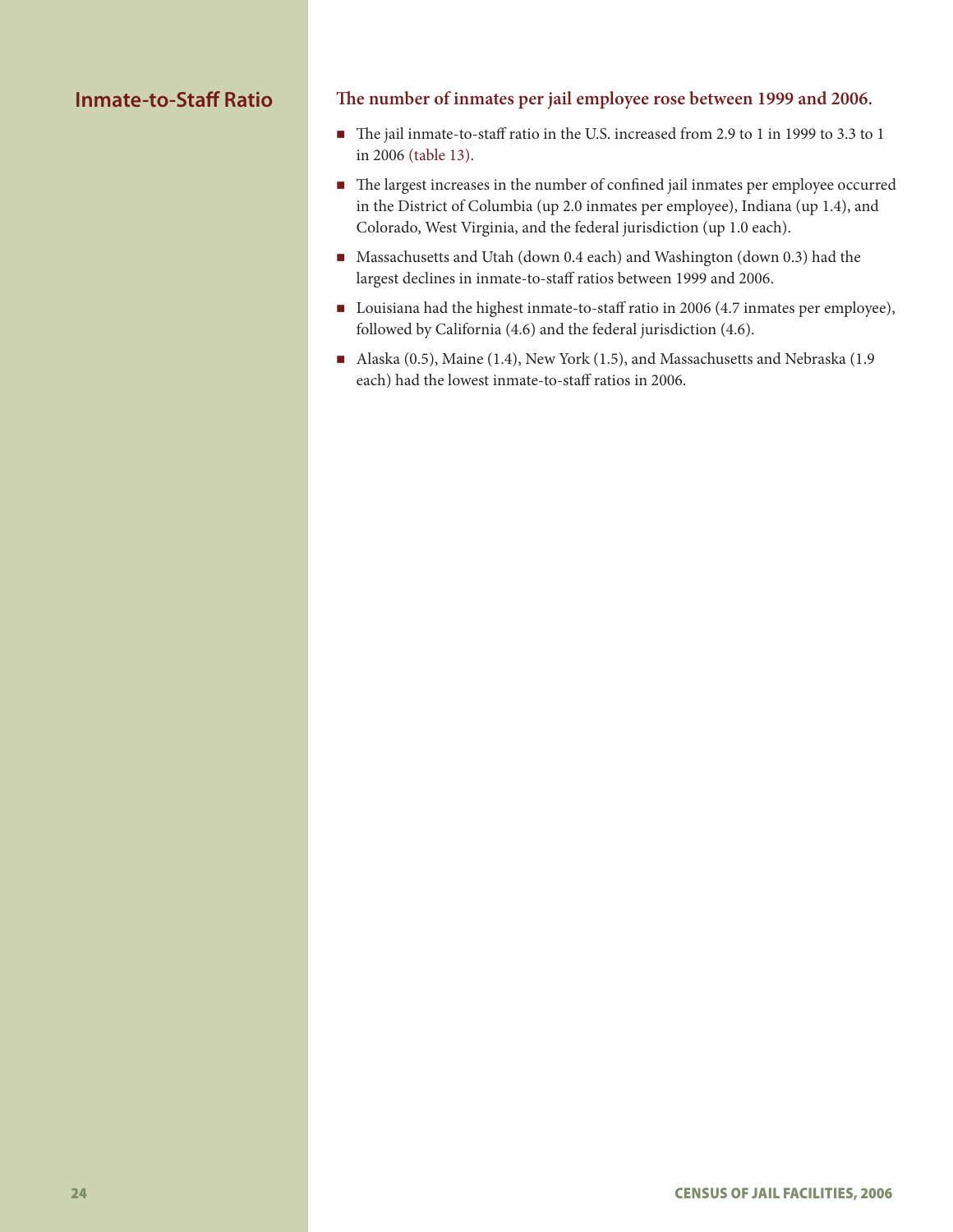# **Inmate-to-Staff Ratio**

#### **The number of inmates per jail employee rose between 1999 and 2006.**

- The jail inmate-to-staff ratio in the U.S. increased from 2.9 to 1 in 1999 to 3.3 to 1 in 2006 (table 13).
- The largest increases in the number of confined jail inmates per employee occurred in the District of Columbia (up 2.0 inmates per employee), Indiana (up 1.4), and Colorado, West Virginia, and the federal jurisdiction (up 1.0 each).
- Massachusetts and Utah (down 0.4 each) and Washington (down 0.3) had the largest declines in inmate-to-staff ratios between 1999 and 2006.
- Louisiana had the highest inmate-to-staff ratio in 2006 (4.7 inmates per employee), followed by California (4.6) and the federal jurisdiction (4.6).
- Alaska (0.5), Maine (1.4), New York (1.5), and Massachusetts and Nebraska (1.9 each) had the lowest inmate-to-staff ratios in 2006.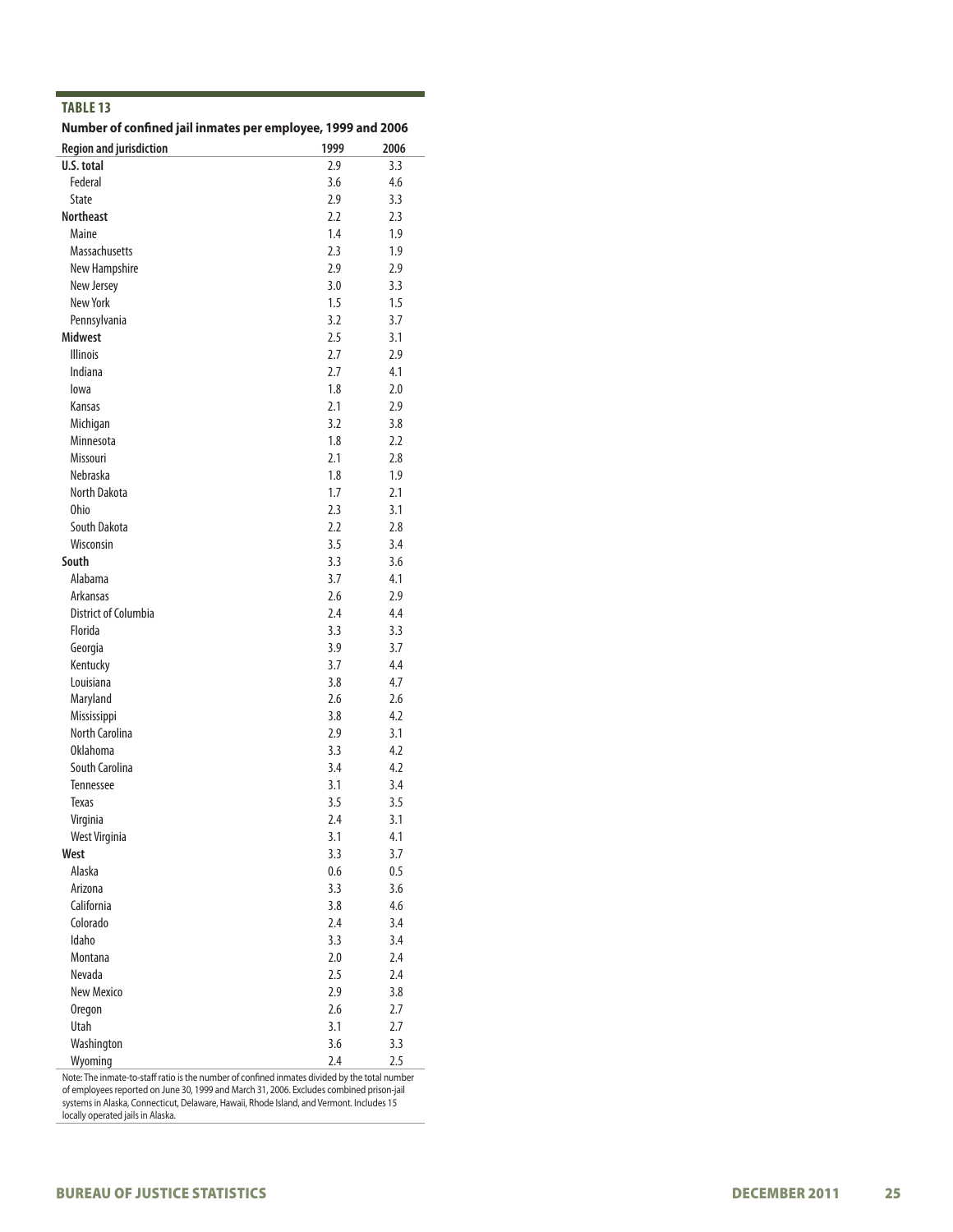| Number of confined jail inmates per employee, 1999 and 2006 |            |         |
|-------------------------------------------------------------|------------|---------|
| <b>Region and jurisdiction</b>                              | 1999       | 2006    |
| U.S. total                                                  | 2.9        | 3.3     |
| Federal                                                     | 3.6        | 4.6     |
| <b>State</b>                                                | 2.9        | 3.3     |
| <b>Northeast</b>                                            | 2.2        | 2.3     |
| Maine                                                       | 1.4        | 1.9     |
| <b>Massachusetts</b>                                        | 2.3        | 1.9     |
| New Hampshire                                               | 2.9        | 2.9     |
| New Jersey                                                  | 3.0        | 3.3     |
| New York                                                    | 1.5        | 1.5     |
| Pennsylvania                                                | 3.2        | 3.7     |
| <b>Midwest</b>                                              | 2.5        | 3.1     |
| <b>Illinois</b>                                             | 2.7        | 2.9     |
| Indiana                                                     | 2.7        | 4.1     |
| lowa                                                        | 1.8        | 2.0     |
| Kansas                                                      | 2.1        | 2.9     |
| Michigan                                                    | 3.2        | 3.8     |
| Minnesota                                                   | 1.8        | 2.2     |
| Missouri                                                    | 2.1        | 2.8     |
| Nebraska                                                    | 1.8        | 1.9     |
| North Dakota                                                | 1.7        | 2.1     |
| Ohio                                                        | 2.3        | 3.1     |
| South Dakota                                                | 2.2        | 2.8     |
| Wisconsin                                                   | 3.5        | 3.4     |
| South                                                       | 3.3        | 3.6     |
| Alabama                                                     | 3.7        | 4.1     |
| Arkansas                                                    | 2.6        | 2.9     |
| District of Columbia                                        | 2.4        | 4.4     |
| Florida                                                     | 3.3        | 3.3     |
| Georgia                                                     | 3.9        | 3.7     |
| Kentucky                                                    | 3.7        | 4.4     |
| Louisiana                                                   | 3.8        | 4.7     |
| Maryland                                                    | 2.6        | 2.6     |
| Mississippi                                                 | 3.8        | 4.2     |
| <b>North Carolina</b>                                       | 2.9        | 3.1     |
| Oklahoma                                                    | 3.3        | 4.2     |
| South Carolina                                              | 3.4        | 4.2     |
| <b>Tennessee</b>                                            | 3.1        | 3.4     |
| <b>Texas</b>                                                | 3.5        | 3.5     |
| Virginia                                                    | 2.4        | 3.1     |
| West Virginia                                               | 3.1        | 4.1     |
| West                                                        | 3.3        | 3.7     |
| Alaska                                                      | 0.6        | $0.5\,$ |
| Arizona                                                     | 3.3        | 3.6     |
| California                                                  | 3.8        | 4.6     |
| Colorado                                                    | 2.4        | 3.4     |
| Idaho                                                       | 3.3        | 3.4     |
| Montana                                                     | 2.0        | 2.4     |
| Nevada                                                      | 2.5        | 2.4     |
| New Mexico                                                  | 2.9        | 3.8     |
|                                                             | 2.6        | 2.7     |
| Oregon<br>Utah                                              |            |         |
| Washington                                                  | 3.1<br>3.6 | 2.7     |
|                                                             |            | 3.3     |

Note: The inmate-to-staff ratio is the number of confined inmates divided by the total number of employees reported on June 30, 1999 and March 31, 2006. Excludes combined prison-jail systems in Alaska, Connecticut, Delaware, Hawaii, Rhode Island, and Vermont. Includes 15 locally operated jails in Alaska.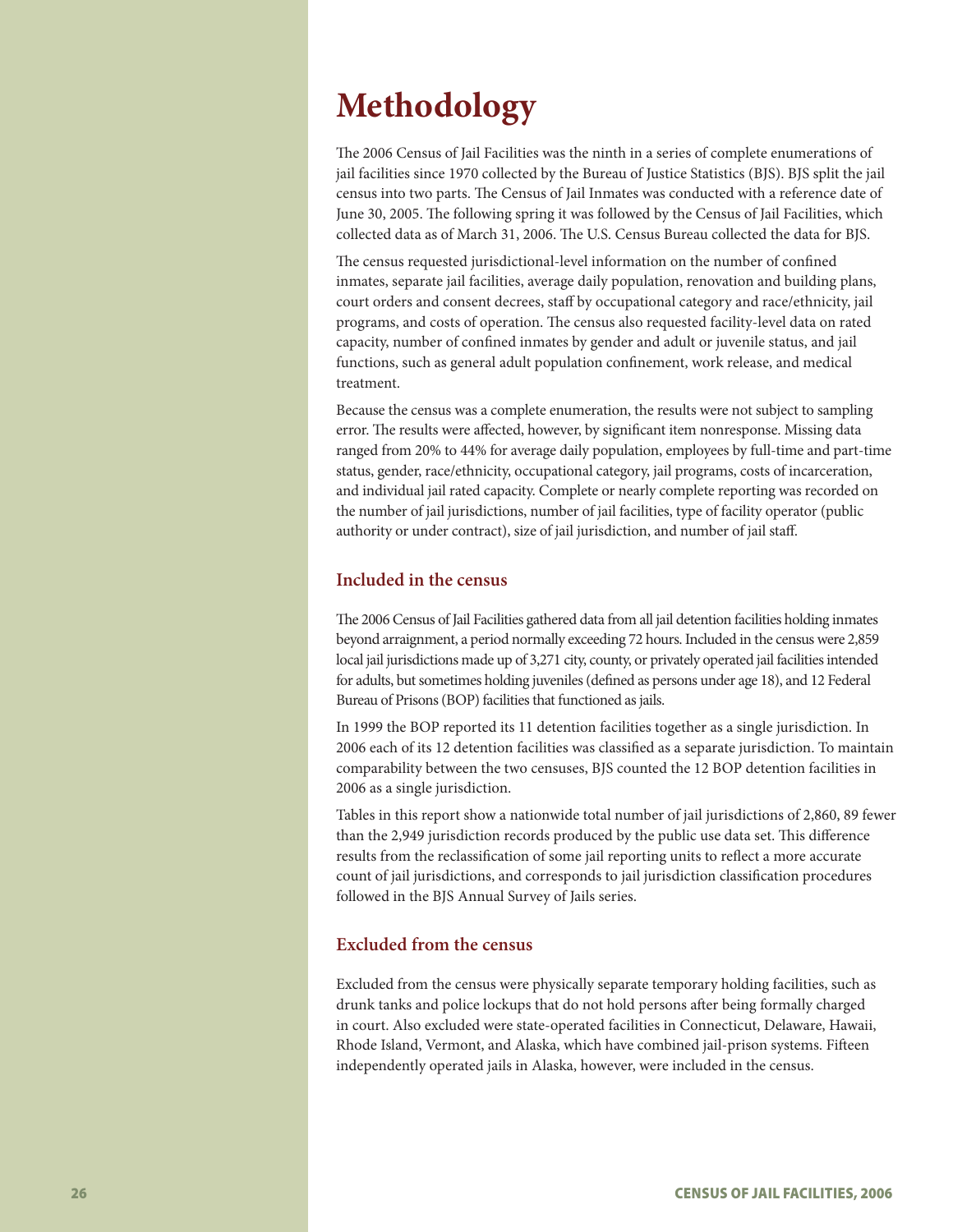# **Methodology**

The 2006 Census of Jail Facilities was the ninth in a series of complete enumerations of jail facilities since 1970 collected by the Bureau of Justice Statistics (BJS). BJS split the jail census into two parts. The Census of Jail Inmates was conducted with a reference date of June 30, 2005. The following spring it was followed by the Census of Jail Facilities, which collected data as of March 31, 2006. The U.S. Census Bureau collected the data for BJS.

The census requested jurisdictional-level information on the number of confined inmates, separate jail facilities, average daily population, renovation and building plans, court orders and consent decrees, staff by occupational category and race/ethnicity, jail programs, and costs of operation. The census also requested facility-level data on rated capacity, number of confined inmates by gender and adult or juvenile status, and jail functions, such as general adult population confinement, work release, and medical treatment.

Because the census was a complete enumeration, the results were not subject to sampling error. The results were affected, however, by significant item nonresponse. Missing data ranged from 20% to 44% for average daily population, employees by full-time and part-time status, gender, race/ethnicity, occupational category, jail programs, costs of incarceration, and individual jail rated capacity. Complete or nearly complete reporting was recorded on the number of jail jurisdictions, number of jail facilities, type of facility operator (public authority or under contract), size of jail jurisdiction, and number of jail staff.

#### **Included in the census**

The 2006 Census of Jail Facilities gathered data from all jail detention facilities holding inmates beyond arraignment, a period normally exceeding 72 hours. Included in the census were 2,859 local jail jurisdictions made up of 3,271 city, county, or privately operated jail facilities intended for adults, but sometimes holding juveniles (defined as persons under age 18), and 12 Federal Bureau of Prisons (BOP) facilities that functioned as jails.

In 1999 the BOP reported its 11 detention facilities together as a single jurisdiction. In 2006 each of its 12 detention facilities was classified as a separate jurisdiction. To maintain comparability between the two censuses, BJS counted the 12 BOP detention facilities in 2006 as a single jurisdiction.

Tables in this report show a nationwide total number of jail jurisdictions of 2,860, 89 fewer than the 2,949 jurisdiction records produced by the public use data set. This difference results from the reclassification of some jail reporting units to reflect a more accurate count of jail jurisdictions, and corresponds to jail jurisdiction classification procedures followed in the BJS Annual Survey of Jails series.

#### **Excluded from the census**

Excluded from the census were physically separate temporary holding facilities, such as drunk tanks and police lockups that do not hold persons after being formally charged in court. Also excluded were state-operated facilities in Connecticut, Delaware, Hawaii, Rhode Island, Vermont, and Alaska, which have combined jail-prison systems. Fifteen independently operated jails in Alaska, however, were included in the census.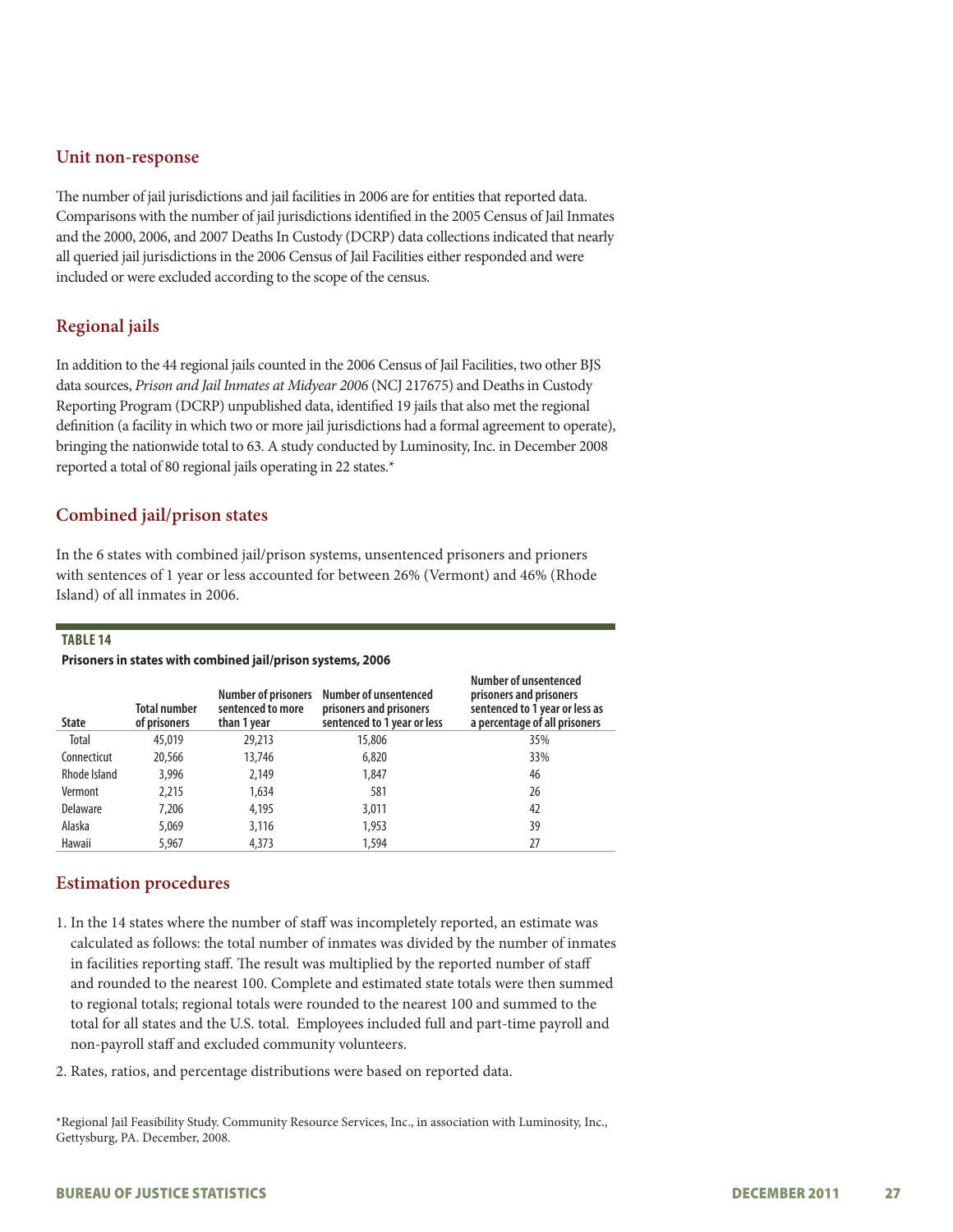#### **Unit non-response**

The number of jail jurisdictions and jail facilities in 2006 are for entities that reported data. Comparisons with the number of jail jurisdictions identified in the 2005 Census of Jail Inmates and the 2000, 2006, and 2007 Deaths In Custody (DCRP) data collections indicated that nearly all queried jail jurisdictions in the 2006 Census of Jail Facilities either responded and were included or were excluded according to the scope of the census.

### **Regional jails**

In addition to the 44 regional jails counted in the 2006 Census of Jail Facilities, two other BJS data sources, *Prison and Jail Inmates at Midyear 2006* (NCJ 217675) and Deaths in Custody Reporting Program (DCRP) unpublished data, identified 19 jails that also met the regional definition (a facility in which two or more jail jurisdictions had a formal agreement to operate), bringing the nationwide total to 63. A study conducted by Luminosity, Inc. in December 2008 reported a total of 80 regional jails operating in 22 states.\*

#### **Combined jail/prison states**

In the 6 states with combined jail/prison systems, unsentenced prisoners and prioners with sentences of 1 year or less accounted for between 26% (Vermont) and 46% (Rhode Island) of all inmates in 2006.

#### **Table 14**

#### **Prisoners in states with combined jail/prison systems, 2006**

| <b>State</b> | <b>Total number</b><br>of prisoners | <b>Number of prisoners</b><br>sentenced to more<br>than 1 year | Number of unsentenced<br>prisoners and prisoners<br>sentenced to 1 year or less | Number of unsentenced<br>prisoners and prisoners<br>sentenced to 1 year or less as<br>a percentage of all prisoners |
|--------------|-------------------------------------|----------------------------------------------------------------|---------------------------------------------------------------------------------|---------------------------------------------------------------------------------------------------------------------|
| Total        | 45,019                              | 29,213                                                         | 15,806                                                                          | 35%                                                                                                                 |
| Connecticut  | 20,566                              | 13,746                                                         | 6,820                                                                           | 33%                                                                                                                 |
| Rhode Island | 3,996                               | 2,149                                                          | 1,847                                                                           | 46                                                                                                                  |
| Vermont      | 2,215                               | 1,634                                                          | 581                                                                             | 26                                                                                                                  |
| Delaware     | 7,206                               | 4,195                                                          | 3,011                                                                           | 42                                                                                                                  |
| Alaska       | 5,069                               | 3,116                                                          | 1,953                                                                           | 39                                                                                                                  |
| Hawaii       | 5.967                               | 4,373                                                          | 1,594                                                                           | 27                                                                                                                  |

#### **Estimation procedures**

- 1. In the 14 states where the number of staff was incompletely reported, an estimate was calculated as follows: the total number of inmates was divided by the number of inmates in facilities reporting staff. The result was multiplied by the reported number of staff and rounded to the nearest 100. Complete and estimated state totals were then summed to regional totals; regional totals were rounded to the nearest 100 and summed to the total for all states and the U.S. total. Employees included full and part-time payroll and non-payroll staff and excluded community volunteers.
- 2. Rates, ratios, and percentage distributions were based on reported data.

\*Regional Jail Feasibility Study. Community Resource Services, Inc., in association with Luminosity, Inc., Gettysburg, PA. December, 2008.